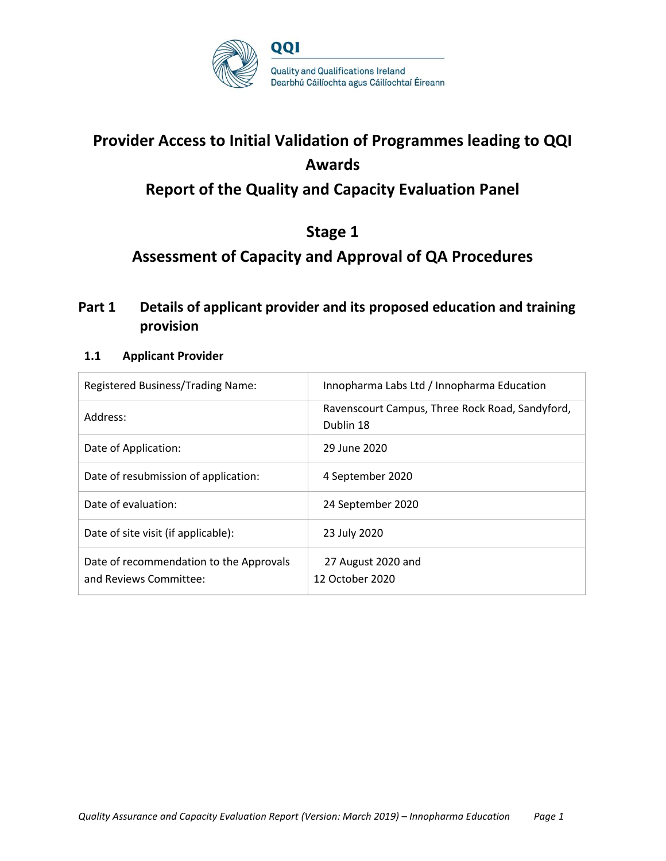

## **Provider Access to Initial Validation of Programmes leading to QQI Awards Report of the Quality and Capacity Evaluation Panel**

## **Stage 1**

## **Assessment of Capacity and Approval of QA Procedures**

## **Part 1 Details of applicant provider and its proposed education and training provision**

#### **1.1 Applicant Provider**

| Registered Business/Trading Name:                                 | Innopharma Labs Ltd / Innopharma Education                   |
|-------------------------------------------------------------------|--------------------------------------------------------------|
| Address:                                                          | Ravenscourt Campus, Three Rock Road, Sandyford,<br>Dublin 18 |
| Date of Application:                                              | 29 June 2020                                                 |
| Date of resubmission of application:                              | 4 September 2020                                             |
| Date of evaluation:                                               | 24 September 2020                                            |
| Date of site visit (if applicable):                               | 23 July 2020                                                 |
| Date of recommendation to the Approvals<br>and Reviews Committee: | 27 August 2020 and<br>12 October 2020                        |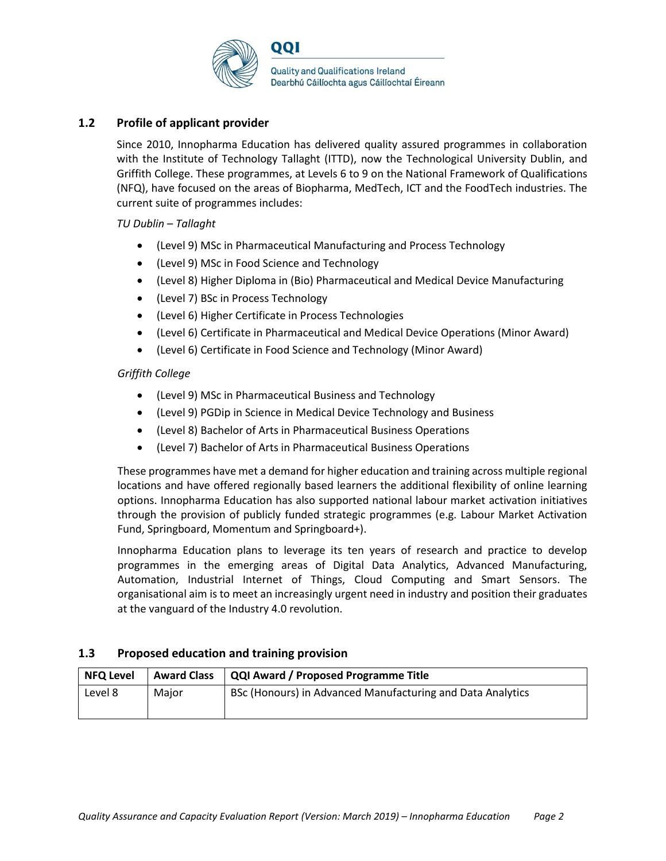

#### **1.2 Profile of applicant provider**

Since 2010, Innopharma Education has delivered quality assured programmes in collaboration with the Institute of Technology Tallaght (ITTD), now the Technological University Dublin, and Griffith College. These programmes, at Levels 6 to 9 on the National Framework of Qualifications (NFQ), have focused on the areas of Biopharma, MedTech, ICT and the FoodTech industries. The current suite of programmes includes:

#### *TU Dublin – Tallaght*

- (Level 9) MSc in Pharmaceutical Manufacturing and Process Technology
- (Level 9) MSc in Food Science and Technology
- (Level 8) Higher Diploma in (Bio) Pharmaceutical and Medical Device Manufacturing
- (Level 7) BSc in Process Technology
- (Level 6) Higher Certificate in Process Technologies
- (Level 6) Certificate in Pharmaceutical and Medical Device Operations (Minor Award)
- (Level 6) Certificate in Food Science and Technology (Minor Award)

#### *Griffith College*

- (Level 9) MSc in Pharmaceutical Business and Technology
- (Level 9) PGDip in Science in Medical Device Technology and Business
- (Level 8) Bachelor of Arts in Pharmaceutical Business Operations
- (Level 7) Bachelor of Arts in Pharmaceutical Business Operations

These programmes have met a demand for higher education and training across multiple regional locations and have offered regionally based learners the additional flexibility of online learning options. Innopharma Education has also supported national labour market activation initiatives through the provision of publicly funded strategic programmes (e.g. Labour Market Activation Fund, Springboard, Momentum and Springboard+).

Innopharma Education plans to leverage its ten years of research and practice to develop programmes in the emerging areas of Digital Data Analytics, Advanced Manufacturing, Automation, Industrial Internet of Things, Cloud Computing and Smart Sensors. The organisational aim is to meet an increasingly urgent need in industry and position their graduates at the vanguard of the Industry 4.0 revolution.

#### **1.3 Proposed education and training provision**

| <b>NFQ Level</b> | <b>Award Class</b> | QQI Award / Proposed Programme Title                       |  |
|------------------|--------------------|------------------------------------------------------------|--|
| Level 8          | Major              | BSc (Honours) in Advanced Manufacturing and Data Analytics |  |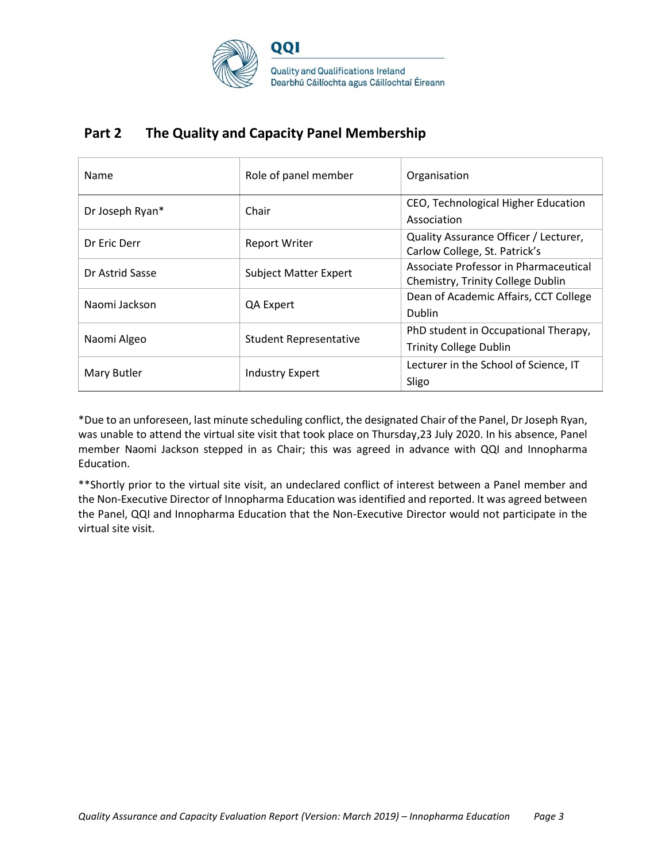

## **Part 2 The Quality and Capacity Panel Membership**

| Name            | Role of panel member          | Organisation                                                               |
|-----------------|-------------------------------|----------------------------------------------------------------------------|
| Dr Joseph Ryan* | Chair                         | CEO, Technological Higher Education<br>Association                         |
| Dr Eric Derr    | <b>Report Writer</b>          | Quality Assurance Officer / Lecturer,<br>Carlow College, St. Patrick's     |
| Dr Astrid Sasse | <b>Subject Matter Expert</b>  | Associate Professor in Pharmaceutical<br>Chemistry, Trinity College Dublin |
| Naomi Jackson   | QA Expert                     | Dean of Academic Affairs, CCT College<br><b>Dublin</b>                     |
| Naomi Algeo     | <b>Student Representative</b> | PhD student in Occupational Therapy,<br><b>Trinity College Dublin</b>      |
| Mary Butler     | Industry Expert               | Lecturer in the School of Science, IT<br>Sligo                             |

\*Due to an unforeseen, last minute scheduling conflict, the designated Chair of the Panel, Dr Joseph Ryan, was unable to attend the virtual site visit that took place on Thursday,23 July 2020. In his absence, Panel member Naomi Jackson stepped in as Chair; this was agreed in advance with QQI and Innopharma Education.

\*\*Shortly prior to the virtual site visit, an undeclared conflict of interest between a Panel member and the Non-Executive Director of Innopharma Education was identified and reported. It was agreed between the Panel, QQI and Innopharma Education that the Non-Executive Director would not participate in the virtual site visit.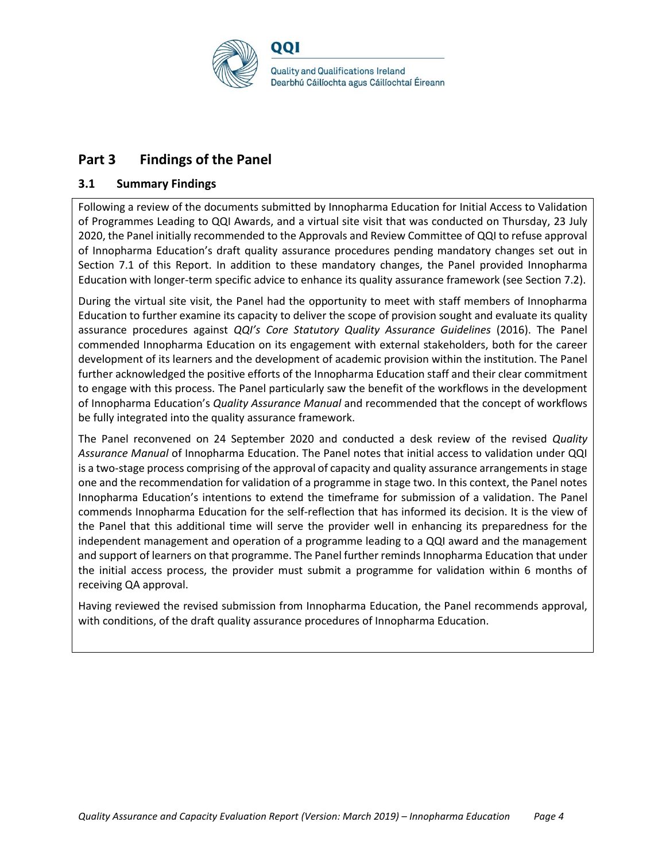

## **Part 3 Findings of the Panel**

#### **3.1 Summary Findings**

Following a review of the documents submitted by Innopharma Education for Initial Access to Validation of Programmes Leading to QQI Awards, and a virtual site visit that was conducted on Thursday, 23 July 2020, the Panel initially recommended to the Approvals and Review Committee of QQI to refuse approval of Innopharma Education's draft quality assurance procedures pending mandatory changes set out in Section 7.1 of this Report. In addition to these mandatory changes, the Panel provided Innopharma Education with longer-term specific advice to enhance its quality assurance framework (see Section 7.2).

During the virtual site visit, the Panel had the opportunity to meet with staff members of Innopharma Education to further examine its capacity to deliver the scope of provision sought and evaluate its quality assurance procedures against *QQI's Core Statutory Quality Assurance Guidelines* (2016). The Panel commended Innopharma Education on its engagement with external stakeholders, both for the career development of its learners and the development of academic provision within the institution. The Panel further acknowledged the positive efforts of the Innopharma Education staff and their clear commitment to engage with this process. The Panel particularly saw the benefit of the workflows in the development of Innopharma Education's *Quality Assurance Manual* and recommended that the concept of workflows be fully integrated into the quality assurance framework.

The Panel reconvened on 24 September 2020 and conducted a desk review of the revised *Quality Assurance Manual* of Innopharma Education. The Panel notes that initial access to validation under QQI is a two-stage process comprising of the approval of capacity and quality assurance arrangements in stage one and the recommendation for validation of a programme in stage two. In this context, the Panel notes Innopharma Education's intentions to extend the timeframe for submission of a validation. The Panel commends Innopharma Education for the self-reflection that has informed its decision. It is the view of the Panel that this additional time will serve the provider well in enhancing its preparedness for the independent management and operation of a programme leading to a QQI award and the management and support of learners on that programme. The Panel further reminds Innopharma Education that under the initial access process, the provider must submit a programme for validation within 6 months of receiving QA approval.

Having reviewed the revised submission from Innopharma Education, the Panel recommends approval, with conditions, of the draft quality assurance procedures of Innopharma Education.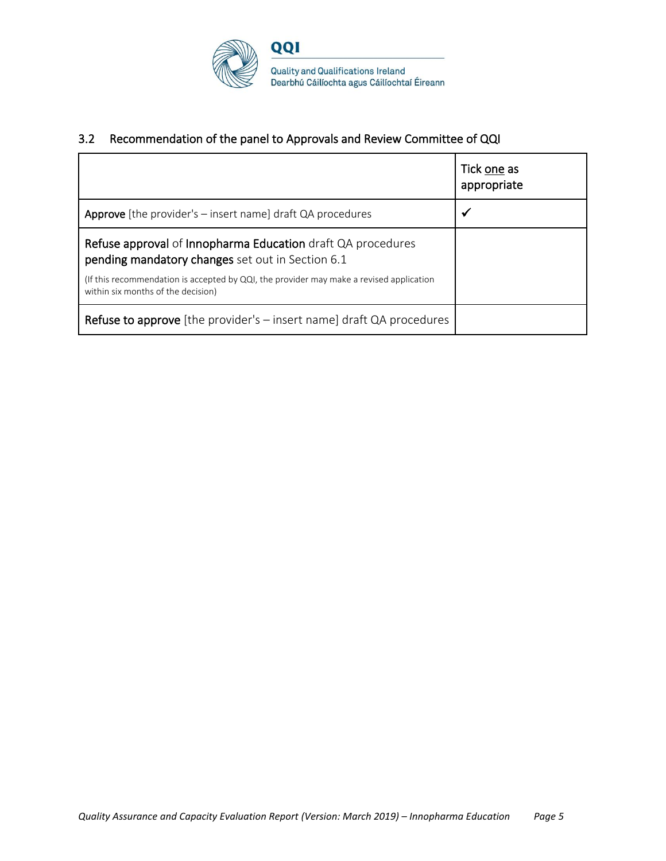

#### 3.2 Recommendation of the panel to Approvals and Review Committee of QQI

|                                                                                                                                                                                                                                                  | Tick one as<br>appropriate |
|--------------------------------------------------------------------------------------------------------------------------------------------------------------------------------------------------------------------------------------------------|----------------------------|
| <b>Approve</b> [the provider's $-$ insert name] draft QA procedures                                                                                                                                                                              | ✔                          |
| Refuse approval of Innopharma Education draft QA procedures<br>pending mandatory changes set out in Section 6.1<br>(If this recommendation is accepted by QQI, the provider may make a revised application<br>within six months of the decision) |                            |
| <b>Refuse to approve</b> [the provider's - insert name] draft QA procedures                                                                                                                                                                      |                            |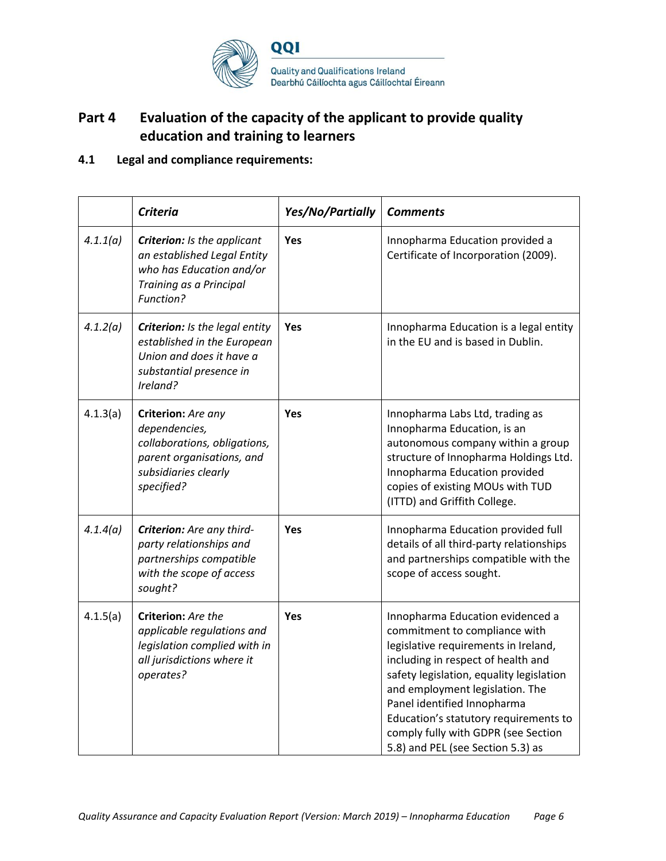

## **Part 4 Evaluation of the capacity of the applicant to provide quality education and training to learners**

#### **4.1 Legal and compliance requirements:**

|          | <b>Criteria</b>                                                                                                                        | Yes/No/Partially | <b>Comments</b>                                                                                                                                                                                                                                                                                                                                                                    |
|----------|----------------------------------------------------------------------------------------------------------------------------------------|------------------|------------------------------------------------------------------------------------------------------------------------------------------------------------------------------------------------------------------------------------------------------------------------------------------------------------------------------------------------------------------------------------|
| 4.1.1(a) | <b>Criterion:</b> Is the applicant<br>an established Legal Entity<br>who has Education and/or<br>Training as a Principal<br>Function?  | Yes              | Innopharma Education provided a<br>Certificate of Incorporation (2009).                                                                                                                                                                                                                                                                                                            |
| 4.1.2(a) | Criterion: Is the legal entity<br>established in the European<br>Union and does it have a<br>substantial presence in<br>Ireland?       | Yes              | Innopharma Education is a legal entity<br>in the EU and is based in Dublin.                                                                                                                                                                                                                                                                                                        |
| 4.1.3(a) | Criterion: Are any<br>dependencies,<br>collaborations, obligations,<br>parent organisations, and<br>subsidiaries clearly<br>specified? | Yes              | Innopharma Labs Ltd, trading as<br>Innopharma Education, is an<br>autonomous company within a group<br>structure of Innopharma Holdings Ltd.<br>Innopharma Education provided<br>copies of existing MOUs with TUD<br>(ITTD) and Griffith College.                                                                                                                                  |
| 4.1.4(a) | Criterion: Are any third-<br>party relationships and<br>partnerships compatible<br>with the scope of access<br>sought?                 | Yes              | Innopharma Education provided full<br>details of all third-party relationships<br>and partnerships compatible with the<br>scope of access sought.                                                                                                                                                                                                                                  |
| 4.1.5(a) | Criterion: Are the<br>applicable regulations and<br>legislation complied with in<br>all jurisdictions where it<br>operates?            | <b>Yes</b>       | Innopharma Education evidenced a<br>commitment to compliance with<br>legislative requirements in Ireland,<br>including in respect of health and<br>safety legislation, equality legislation<br>and employment legislation. The<br>Panel identified Innopharma<br>Education's statutory requirements to<br>comply fully with GDPR (see Section<br>5.8) and PEL (see Section 5.3) as |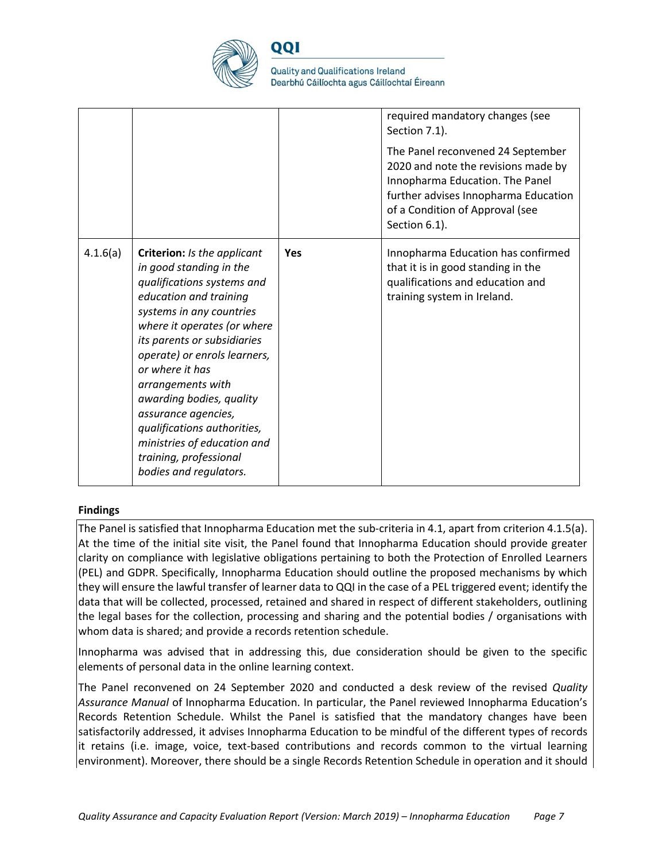

QQI

**Quality and Qualifications Ireland** Dearbhú Cáilíochta agus Cáilíochtaí Éireann

|          |                                                                                                                                                                                                                                                                                                                                                                                                                                                       |            | required mandatory changes (see<br>Section 7.1).<br>The Panel reconvened 24 September<br>2020 and note the revisions made by<br>Innopharma Education. The Panel<br>further advises Innopharma Education<br>of a Condition of Approval (see<br>Section 6.1). |
|----------|-------------------------------------------------------------------------------------------------------------------------------------------------------------------------------------------------------------------------------------------------------------------------------------------------------------------------------------------------------------------------------------------------------------------------------------------------------|------------|-------------------------------------------------------------------------------------------------------------------------------------------------------------------------------------------------------------------------------------------------------------|
| 4.1.6(a) | Criterion: Is the applicant<br>in good standing in the<br>qualifications systems and<br>education and training<br>systems in any countries<br>where it operates (or where<br>its parents or subsidiaries<br>operate) or enrols learners,<br>or where it has<br>arrangements with<br>awarding bodies, quality<br>assurance agencies,<br>qualifications authorities,<br>ministries of education and<br>training, professional<br>bodies and regulators. | <b>Yes</b> | Innopharma Education has confirmed<br>that it is in good standing in the<br>qualifications and education and<br>training system in Ireland.                                                                                                                 |

#### **Findings**

The Panel is satisfied that Innopharma Education met the sub-criteria in 4.1, apart from criterion 4.1.5(a). At the time of the initial site visit, the Panel found that Innopharma Education should provide greater clarity on compliance with legislative obligations pertaining to both the Protection of Enrolled Learners (PEL) and GDPR. Specifically, Innopharma Education should outline the proposed mechanisms by which they will ensure the lawful transfer of learner data to QQI in the case of a PEL triggered event; identify the data that will be collected, processed, retained and shared in respect of different stakeholders, outlining the legal bases for the collection, processing and sharing and the potential bodies / organisations with whom data is shared; and provide a records retention schedule.

Innopharma was advised that in addressing this, due consideration should be given to the specific elements of personal data in the online learning context.

The Panel reconvened on 24 September 2020 and conducted a desk review of the revised *Quality Assurance Manual* of Innopharma Education. In particular, the Panel reviewed Innopharma Education's Records Retention Schedule. Whilst the Panel is satisfied that the mandatory changes have been satisfactorily addressed, it advises Innopharma Education to be mindful of the different types of records it retains (i.e. image, voice, text-based contributions and records common to the virtual learning environment). Moreover, there should be a single Records Retention Schedule in operation and it should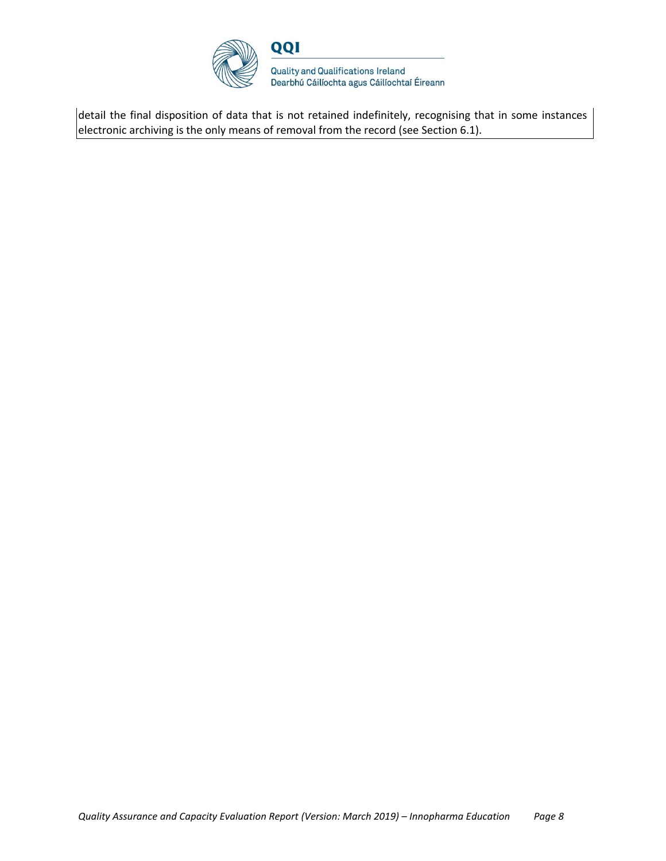

detail the final disposition of data that is not retained indefinitely, recognising that in some instances electronic archiving is the only means of removal from the record (see Section 6.1).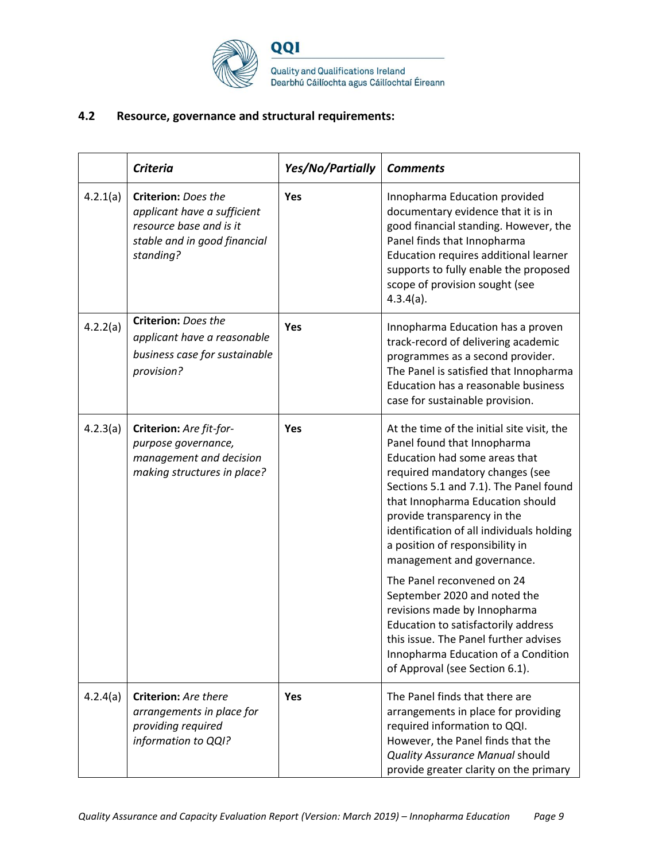

#### **4.2 Resource, governance and structural requirements:**

|          | <b>Criteria</b>                                                                                                                   | Yes/No/Partially | <b>Comments</b>                                                                                                                                                                                                                                                                                                                                                          |
|----------|-----------------------------------------------------------------------------------------------------------------------------------|------------------|--------------------------------------------------------------------------------------------------------------------------------------------------------------------------------------------------------------------------------------------------------------------------------------------------------------------------------------------------------------------------|
| 4.2.1(a) | <b>Criterion: Does the</b><br>applicant have a sufficient<br>resource base and is it<br>stable and in good financial<br>standing? | Yes              | Innopharma Education provided<br>documentary evidence that it is in<br>good financial standing. However, the<br>Panel finds that Innopharma<br>Education requires additional learner<br>supports to fully enable the proposed<br>scope of provision sought (see<br>$4.3.4(a)$ .                                                                                          |
| 4.2.2(a) | <b>Criterion: Does the</b><br>applicant have a reasonable<br>business case for sustainable<br>provision?                          | Yes              | Innopharma Education has a proven<br>track-record of delivering academic<br>programmes as a second provider.<br>The Panel is satisfied that Innopharma<br>Education has a reasonable business<br>case for sustainable provision.                                                                                                                                         |
| 4.2.3(a) | Criterion: Are fit-for-<br>purpose governance,<br>management and decision<br>making structures in place?                          | Yes              | At the time of the initial site visit, the<br>Panel found that Innopharma<br>Education had some areas that<br>required mandatory changes (see<br>Sections 5.1 and 7.1). The Panel found<br>that Innopharma Education should<br>provide transparency in the<br>identification of all individuals holding<br>a position of responsibility in<br>management and governance. |
|          |                                                                                                                                   |                  | The Panel reconvened on 24<br>September 2020 and noted the<br>revisions made by Innopharma<br>Education to satisfactorily address<br>this issue. The Panel further advises<br>Innopharma Education of a Condition<br>of Approval (see Section 6.1).                                                                                                                      |
| 4.2.4(a) | <b>Criterion:</b> Are there<br>arrangements in place for<br>providing required<br>information to QQI?                             | Yes              | The Panel finds that there are<br>arrangements in place for providing<br>required information to QQI.<br>However, the Panel finds that the<br>Quality Assurance Manual should<br>provide greater clarity on the primary                                                                                                                                                  |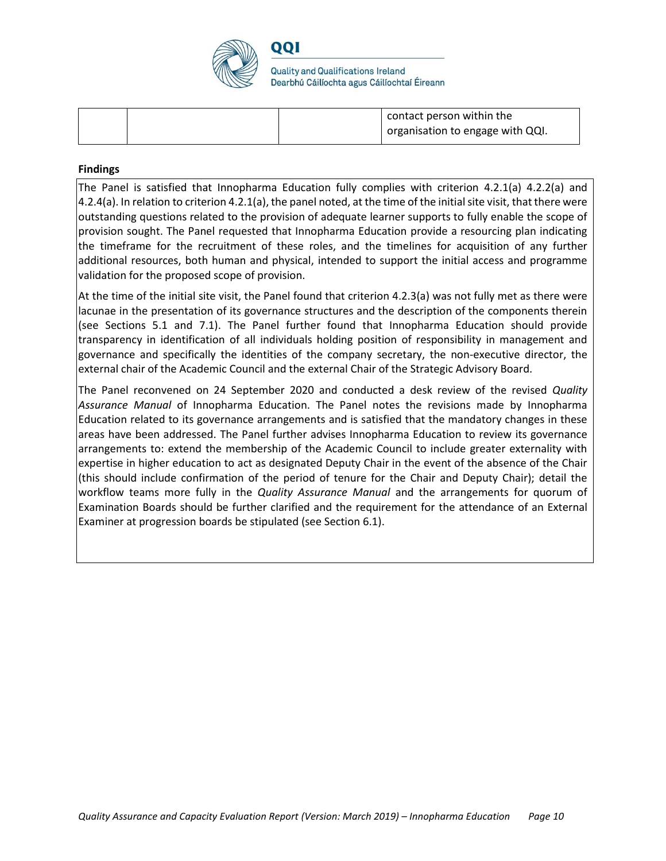

QQI

**Quality and Qualifications Ireland** Dearbhú Cáilíochta agus Cáilíochtaí Éireann

|  | contact person within the<br>organisation to engage with QQI. |
|--|---------------------------------------------------------------|
|  |                                                               |

#### **Findings**

The Panel is satisfied that Innopharma Education fully complies with criterion 4.2.1(a) 4.2.2(a) and 4.2.4(a). In relation to criterion 4.2.1(a), the panel noted, at the time of the initial site visit, that there were outstanding questions related to the provision of adequate learner supports to fully enable the scope of provision sought. The Panel requested that Innopharma Education provide a resourcing plan indicating the timeframe for the recruitment of these roles, and the timelines for acquisition of any further additional resources, both human and physical, intended to support the initial access and programme validation for the proposed scope of provision.

At the time of the initial site visit, the Panel found that criterion 4.2.3(a) was not fully met as there were lacunae in the presentation of its governance structures and the description of the components therein (see Sections 5.1 and 7.1). The Panel further found that Innopharma Education should provide transparency in identification of all individuals holding position of responsibility in management and governance and specifically the identities of the company secretary, the non-executive director, the external chair of the Academic Council and the external Chair of the Strategic Advisory Board.

The Panel reconvened on 24 September 2020 and conducted a desk review of the revised *Quality Assurance Manual* of Innopharma Education. The Panel notes the revisions made by Innopharma Education related to its governance arrangements and is satisfied that the mandatory changes in these areas have been addressed. The Panel further advises Innopharma Education to review its governance arrangements to: extend the membership of the Academic Council to include greater externality with expertise in higher education to act as designated Deputy Chair in the event of the absence of the Chair (this should include confirmation of the period of tenure for the Chair and Deputy Chair); detail the workflow teams more fully in the *Quality Assurance Manual* and the arrangements for quorum of Examination Boards should be further clarified and the requirement for the attendance of an External Examiner at progression boards be stipulated (see Section 6.1).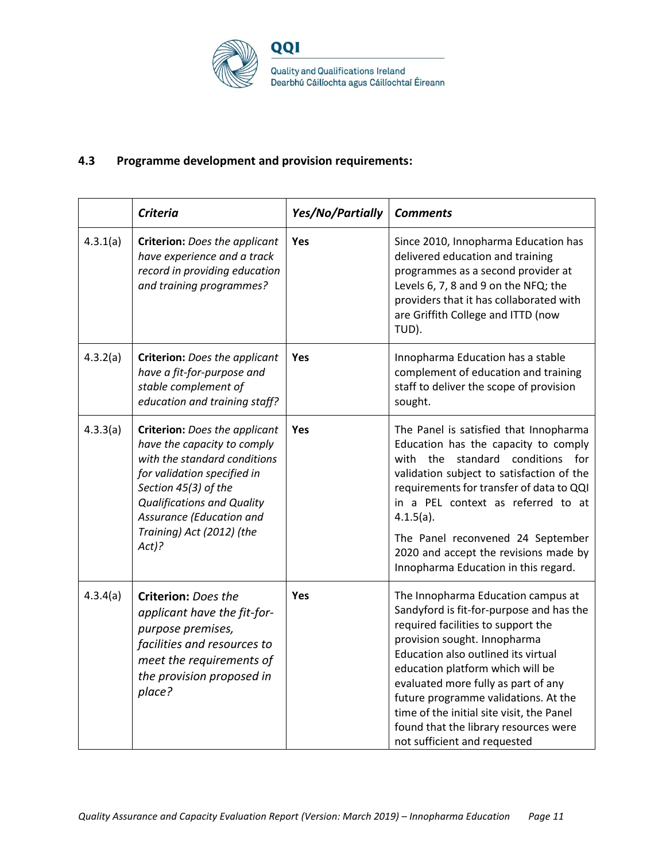

#### **4.3 Programme development and provision requirements:**

|          | <b>Criteria</b>                                                                                                                                                                                                                                                     | Yes/No/Partially | <b>Comments</b>                                                                                                                                                                                                                                                                                                                                                                                                                      |
|----------|---------------------------------------------------------------------------------------------------------------------------------------------------------------------------------------------------------------------------------------------------------------------|------------------|--------------------------------------------------------------------------------------------------------------------------------------------------------------------------------------------------------------------------------------------------------------------------------------------------------------------------------------------------------------------------------------------------------------------------------------|
| 4.3.1(a) | <b>Criterion:</b> Does the applicant<br>have experience and a track<br>record in providing education<br>and training programmes?                                                                                                                                    | <b>Yes</b>       | Since 2010, Innopharma Education has<br>delivered education and training<br>programmes as a second provider at<br>Levels 6, 7, 8 and 9 on the NFQ; the<br>providers that it has collaborated with<br>are Griffith College and ITTD (now<br>TUD).                                                                                                                                                                                     |
| 4.3.2(a) | <b>Criterion:</b> Does the applicant<br>have a fit-for-purpose and<br>stable complement of<br>education and training staff?                                                                                                                                         | Yes              | Innopharma Education has a stable<br>complement of education and training<br>staff to deliver the scope of provision<br>sought.                                                                                                                                                                                                                                                                                                      |
| 4.3.3(a) | <b>Criterion:</b> Does the applicant<br>have the capacity to comply<br>with the standard conditions<br>for validation specified in<br>Section 45(3) of the<br><b>Qualifications and Quality</b><br>Assurance (Education and<br>Training) Act (2012) (the<br>$Act$ ? | <b>Yes</b>       | The Panel is satisfied that Innopharma<br>Education has the capacity to comply<br>conditions<br>with the<br>standard<br>for<br>validation subject to satisfaction of the<br>requirements for transfer of data to QQI<br>in a PEL context as referred to at<br>$4.1.5(a)$ .<br>The Panel reconvened 24 September<br>2020 and accept the revisions made by<br>Innopharma Education in this regard.                                     |
| 4.3.4(a) | Criterion: Does the<br>applicant have the fit-for-<br>purpose premises,<br>facilities and resources to<br>meet the requirements of<br>the provision proposed in<br>place?                                                                                           | <b>Yes</b>       | The Innopharma Education campus at<br>Sandyford is fit-for-purpose and has the<br>required facilities to support the<br>provision sought. Innopharma<br>Education also outlined its virtual<br>education platform which will be<br>evaluated more fully as part of any<br>future programme validations. At the<br>time of the initial site visit, the Panel<br>found that the library resources were<br>not sufficient and requested |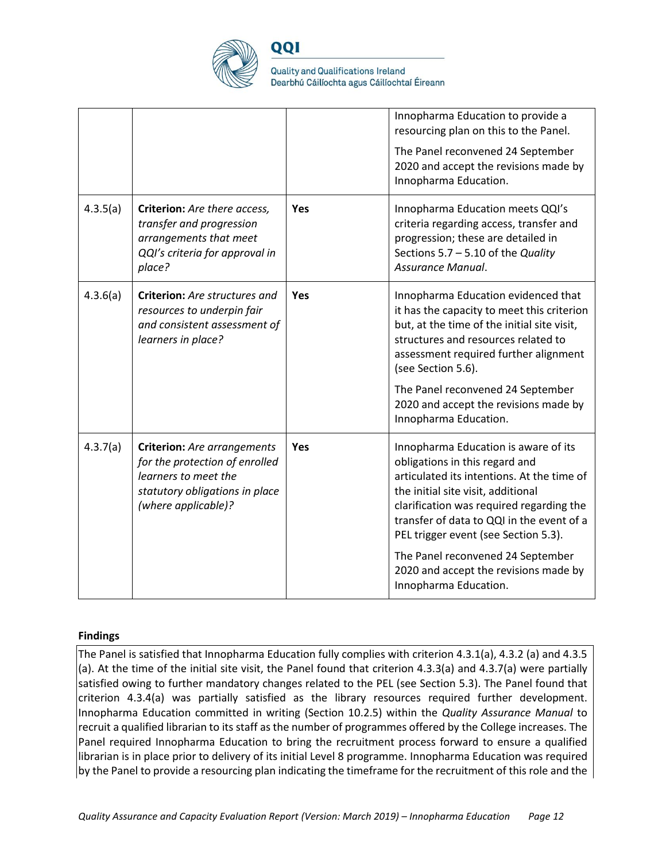

QQI

**Quality and Qualifications Ireland** Dearbhú Cáilíochta agus Cáilíochtaí Éireann

|          |                                                                                                                                                       |     | Innopharma Education to provide a<br>resourcing plan on this to the Panel.<br>The Panel reconvened 24 September<br>2020 and accept the revisions made by<br>Innopharma Education.                                                                                                                                                             |
|----------|-------------------------------------------------------------------------------------------------------------------------------------------------------|-----|-----------------------------------------------------------------------------------------------------------------------------------------------------------------------------------------------------------------------------------------------------------------------------------------------------------------------------------------------|
| 4.3.5(a) | Criterion: Are there access,<br>transfer and progression<br>arrangements that meet<br>QQI's criteria for approval in<br>place?                        | Yes | Innopharma Education meets QQI's<br>criteria regarding access, transfer and<br>progression; these are detailed in<br>Sections 5.7 - 5.10 of the Quality<br>Assurance Manual.                                                                                                                                                                  |
| 4.3.6(a) | <b>Criterion:</b> Are structures and<br>resources to underpin fair<br>and consistent assessment of<br>learners in place?                              | Yes | Innopharma Education evidenced that<br>it has the capacity to meet this criterion<br>but, at the time of the initial site visit,<br>structures and resources related to<br>assessment required further alignment<br>(see Section 5.6).<br>The Panel reconvened 24 September<br>2020 and accept the revisions made by<br>Innopharma Education. |
| 4.3.7(a) | <b>Criterion:</b> Are arrangements<br>for the protection of enrolled<br>learners to meet the<br>statutory obligations in place<br>(where applicable)? | Yes | Innopharma Education is aware of its<br>obligations in this regard and<br>articulated its intentions. At the time of<br>the initial site visit, additional<br>clarification was required regarding the<br>transfer of data to QQI in the event of a<br>PEL trigger event (see Section 5.3).                                                   |
|          |                                                                                                                                                       |     | The Panel reconvened 24 September<br>2020 and accept the revisions made by<br>Innopharma Education.                                                                                                                                                                                                                                           |

#### **Findings**

The Panel is satisfied that Innopharma Education fully complies with criterion 4.3.1(a), 4.3.2 (a) and 4.3.5 (a). At the time of the initial site visit, the Panel found that criterion 4.3.3(a) and 4.3.7(a) were partially satisfied owing to further mandatory changes related to the PEL (see Section 5.3). The Panel found that criterion 4.3.4(a) was partially satisfied as the library resources required further development. Innopharma Education committed in writing (Section 10.2.5) within the *Quality Assurance Manual* to recruit a qualified librarian to its staff as the number of programmes offered by the College increases. The Panel required Innopharma Education to bring the recruitment process forward to ensure a qualified librarian is in place prior to delivery of its initial Level 8 programme. Innopharma Education was required by the Panel to provide a resourcing plan indicating the timeframe for the recruitment of this role and the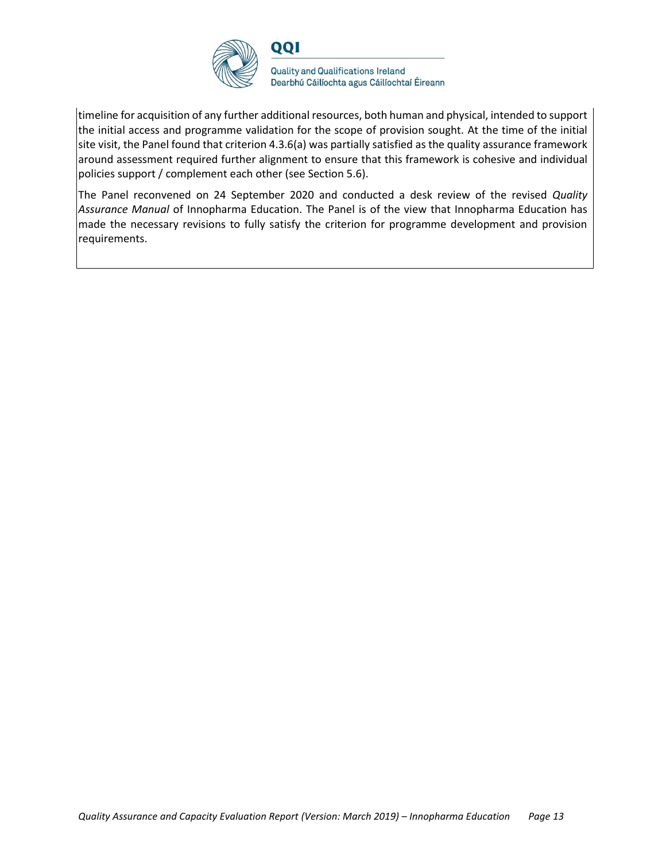

timeline for acquisition of any further additional resources, both human and physical, intended to support the initial access and programme validation for the scope of provision sought. At the time of the initial site visit, the Panel found that criterion 4.3.6(a) was partially satisfied as the quality assurance framework around assessment required further alignment to ensure that this framework is cohesive and individual policies support / complement each other (see Section 5.6).

The Panel reconvened on 24 September 2020 and conducted a desk review of the revised *Quality Assurance Manual* of Innopharma Education. The Panel is of the view that Innopharma Education has made the necessary revisions to fully satisfy the criterion for programme development and provision requirements.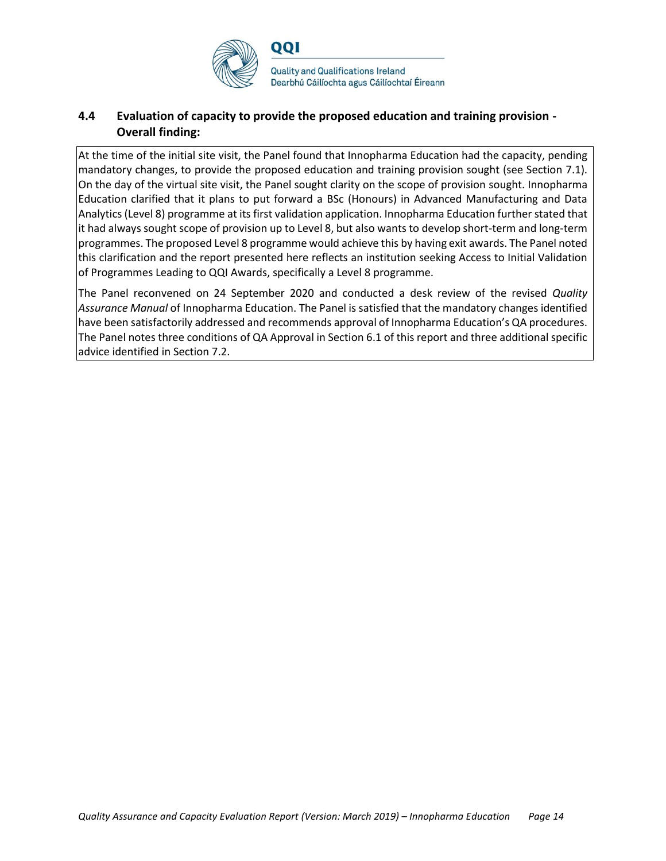

#### **4.4 Evaluation of capacity to provide the proposed education and training provision - Overall finding:**

At the time of the initial site visit, the Panel found that Innopharma Education had the capacity, pending mandatory changes, to provide the proposed education and training provision sought (see Section 7.1). On the day of the virtual site visit, the Panel sought clarity on the scope of provision sought. Innopharma Education clarified that it plans to put forward a BSc (Honours) in Advanced Manufacturing and Data Analytics (Level 8) programme at its first validation application. Innopharma Education further stated that it had always sought scope of provision up to Level 8, but also wants to develop short-term and long-term programmes. The proposed Level 8 programme would achieve this by having exit awards. The Panel noted this clarification and the report presented here reflects an institution seeking Access to Initial Validation of Programmes Leading to QQI Awards, specifically a Level 8 programme.

The Panel reconvened on 24 September 2020 and conducted a desk review of the revised *Quality Assurance Manual* of Innopharma Education. The Panel is satisfied that the mandatory changes identified have been satisfactorily addressed and recommends approval of Innopharma Education's QA procedures. The Panel notes three conditions of QA Approval in Section 6.1 of this report and three additional specific advice identified in Section 7.2.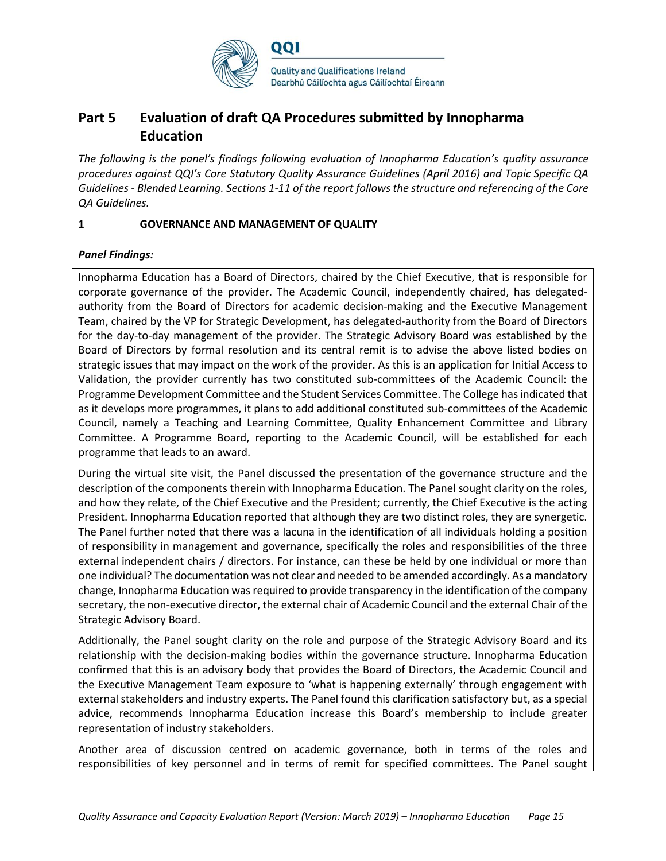

## **Part 5 Evaluation of draft QA Procedures submitted by Innopharma Education**

*The following is the panel's findings following evaluation of Innopharma Education's quality assurance procedures against QQI's Core Statutory Quality Assurance Guidelines (April 2016) and Topic Specific QA Guidelines - Blended Learning. Sections 1-11 of the report follows the structure and referencing of the Core QA Guidelines.* 

#### **1 GOVERNANCE AND MANAGEMENT OF QUALITY**

#### *Panel Findings:*

Innopharma Education has a Board of Directors, chaired by the Chief Executive, that is responsible for corporate governance of the provider. The Academic Council, independently chaired, has delegatedauthority from the Board of Directors for academic decision-making and the Executive Management Team, chaired by the VP for Strategic Development, has delegated-authority from the Board of Directors for the day-to-day management of the provider. The Strategic Advisory Board was established by the Board of Directors by formal resolution and its central remit is to advise the above listed bodies on strategic issues that may impact on the work of the provider. As this is an application for Initial Access to Validation, the provider currently has two constituted sub-committees of the Academic Council: the Programme Development Committee and the Student Services Committee. The College has indicated that as it develops more programmes, it plans to add additional constituted sub-committees of the Academic Council, namely a Teaching and Learning Committee, Quality Enhancement Committee and Library Committee. A Programme Board, reporting to the Academic Council, will be established for each programme that leads to an award.

During the virtual site visit, the Panel discussed the presentation of the governance structure and the description of the components therein with Innopharma Education. The Panel sought clarity on the roles, and how they relate, of the Chief Executive and the President; currently, the Chief Executive is the acting President. Innopharma Education reported that although they are two distinct roles, they are synergetic. The Panel further noted that there was a lacuna in the identification of all individuals holding a position of responsibility in management and governance, specifically the roles and responsibilities of the three external independent chairs / directors. For instance, can these be held by one individual or more than one individual? The documentation was not clear and needed to be amended accordingly. As a mandatory change, Innopharma Education was required to provide transparency in the identification of the company secretary, the non-executive director, the external chair of Academic Council and the external Chair of the Strategic Advisory Board.

Additionally, the Panel sought clarity on the role and purpose of the Strategic Advisory Board and its relationship with the decision-making bodies within the governance structure. Innopharma Education confirmed that this is an advisory body that provides the Board of Directors, the Academic Council and the Executive Management Team exposure to 'what is happening externally' through engagement with external stakeholders and industry experts. The Panel found this clarification satisfactory but, as a special advice, recommends Innopharma Education increase this Board's membership to include greater representation of industry stakeholders.

Another area of discussion centred on academic governance, both in terms of the roles and responsibilities of key personnel and in terms of remit for specified committees. The Panel sought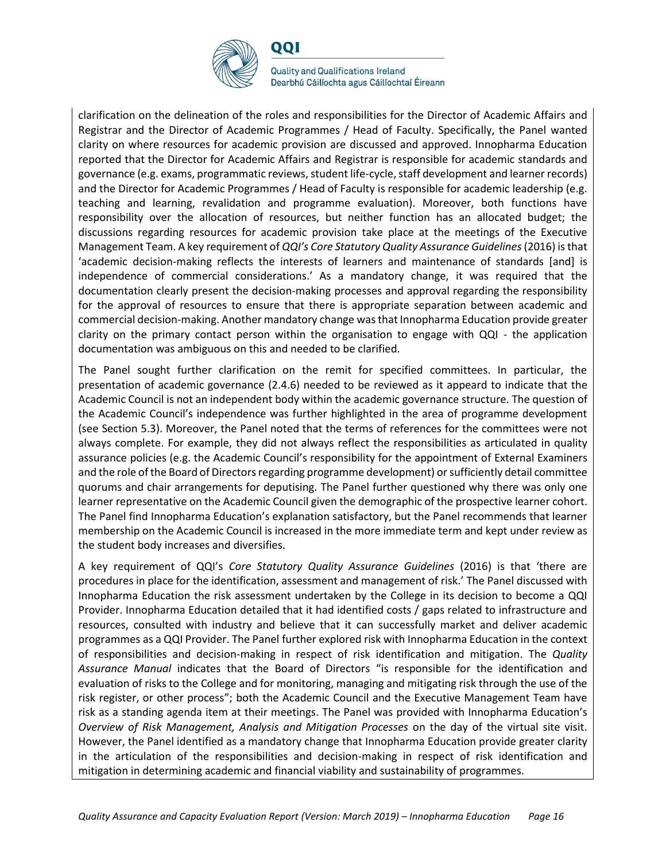

QQI

**Quality and Qualifications Ireland** Dearbhú Cáilíochta agus Cáilíochtaí Éireann

clarification on the delineation of the roles and responsibilities for the Director of Academic Affairs and Registrar and the Director of Academic Programmes / Head of Faculty. Specifically, the Panel wanted clarity on where resources for academic provision are discussed and approved. Innopharma Education reported that the Director for Academic Affairs and Registrar is responsible for academic standards and governance (e.g. exams, programmatic reviews, student life-cycle, staff development and learner records) and the Director for Academic Programmes / Head of Faculty is responsible for academic leadership (e.g. teaching and learning, revalidation and programme evaluation). Moreover, both functions have responsibility over the allocation of resources, but neither function has an allocated budget; the discussions regarding resources for academic provision take place at the meetings of the Executive Management Team. A key requirement of *QQI's Core Statutory Quality Assurance Guidelines*(2016) is that 'academic decision-making reflects the interests of learners and maintenance of standards [and] is independence of commercial considerations.' As a mandatory change, it was required that the documentation clearly present the decision-making processes and approval regarding the responsibility for the approval of resources to ensure that there is appropriate separation between academic and commercial decision-making. Another mandatory change was that Innopharma Education provide greater clarity on the primary contact person within the organisation to engage with QQI - the application documentation was ambiguous on this and needed to be clarified.

The Panel sought further clarification on the remit for specified committees. In particular, the presentation of academic governance (2.4.6) needed to be reviewed as it appeard to indicate that the Academic Council is not an independent body within the academic governance structure. The question of the Academic Council's independence was further highlighted in the area of programme development (see Section 5.3). Moreover, the Panel noted that the terms of references for the committees were not always complete. For example, they did not always reflect the responsibilities as articulated in quality assurance policies (e.g. the Academic Council's responsibility for the appointment of External Examiners and the role of the Board of Directors regarding programme development) or sufficiently detail committee quorums and chair arrangements for deputising. The Panel further questioned why there was only one learner representative on the Academic Council given the demographic of the prospective learner cohort. The Panel find Innopharma Education's explanation satisfactory, but the Panel recommends that learner membership on the Academic Council is increased in the more immediate term and kept under review as the student body increases and diversifies.

A key requirement of QQI's *Core Statutory Quality Assurance Guidelines* (2016) is that 'there are procedures in place for the identification, assessment and management of risk.' The Panel discussed with Innopharma Education the risk assessment undertaken by the College in its decision to become a QQI Provider. Innopharma Education detailed that it had identified costs / gaps related to infrastructure and resources, consulted with industry and believe that it can successfully market and deliver academic programmes as a QQI Provider. The Panel further explored risk with Innopharma Education in the context of responsibilities and decision-making in respect of risk identification and mitigation. The *Quality Assurance Manual* indicates that the Board of Directors "is responsible for the identification and evaluation of risks to the College and for monitoring, managing and mitigating risk through the use of the risk register, or other process"; both the Academic Council and the Executive Management Team have risk as a standing agenda item at their meetings. The Panel was provided with Innopharma Education's *Overview of Risk Management, Analysis and Mitigation Processes* on the day of the virtual site visit. However, the Panel identified as a mandatory change that Innopharma Education provide greater clarity in the articulation of the responsibilities and decision-making in respect of risk identification and mitigation in determining academic and financial viability and sustainability of programmes.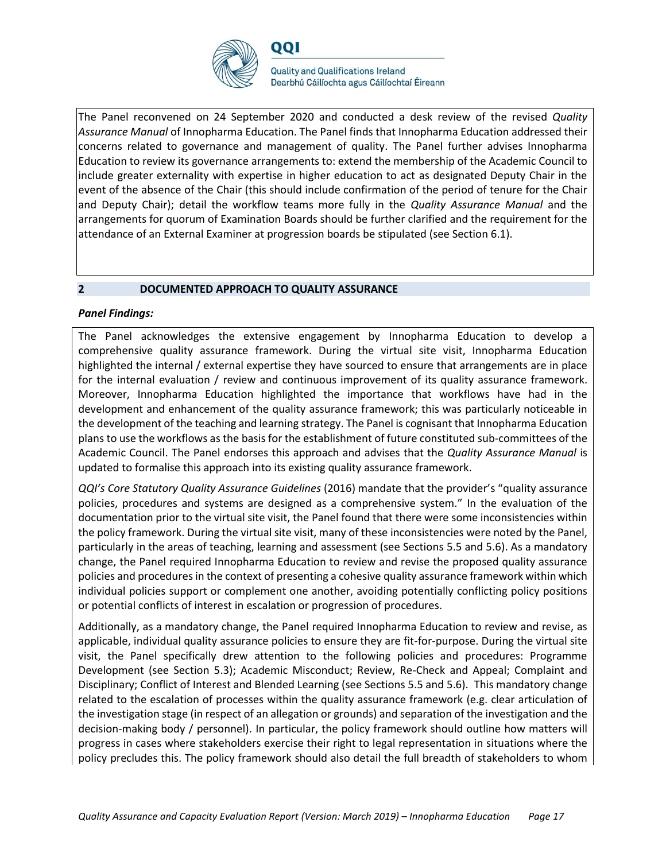

QQI

**Quality and Qualifications Ireland** Dearbhú Cáilíochta agus Cáilíochtaí Éireann

The Panel reconvened on 24 September 2020 and conducted a desk review of the revised *Quality Assurance Manual* of Innopharma Education. The Panel finds that Innopharma Education addressed their concerns related to governance and management of quality. The Panel further advises Innopharma Education to review its governance arrangements to: extend the membership of the Academic Council to include greater externality with expertise in higher education to act as designated Deputy Chair in the event of the absence of the Chair (this should include confirmation of the period of tenure for the Chair and Deputy Chair); detail the workflow teams more fully in the *Quality Assurance Manual* and the arrangements for quorum of Examination Boards should be further clarified and the requirement for the attendance of an External Examiner at progression boards be stipulated (see Section 6.1).

#### **2 DOCUMENTED APPROACH TO QUALITY ASSURANCE**

#### *Panel Findings:*

The Panel acknowledges the extensive engagement by Innopharma Education to develop a comprehensive quality assurance framework. During the virtual site visit, Innopharma Education highlighted the internal / external expertise they have sourced to ensure that arrangements are in place for the internal evaluation / review and continuous improvement of its quality assurance framework. Moreover, Innopharma Education highlighted the importance that workflows have had in the development and enhancement of the quality assurance framework; this was particularly noticeable in the development of the teaching and learning strategy. The Panel is cognisant that Innopharma Education plans to use the workflows as the basis for the establishment of future constituted sub-committees of the Academic Council. The Panel endorses this approach and advises that the *Quality Assurance Manual* is updated to formalise this approach into its existing quality assurance framework.

*QQI's Core Statutory Quality Assurance Guidelines* (2016) mandate that the provider's "quality assurance policies, procedures and systems are designed as a comprehensive system." In the evaluation of the documentation prior to the virtual site visit, the Panel found that there were some inconsistencies within the policy framework. During the virtual site visit, many of these inconsistencies were noted by the Panel, particularly in the areas of teaching, learning and assessment (see Sections 5.5 and 5.6). As a mandatory change, the Panel required Innopharma Education to review and revise the proposed quality assurance policies and procedures in the context of presenting a cohesive quality assurance framework within which individual policies support or complement one another, avoiding potentially conflicting policy positions or potential conflicts of interest in escalation or progression of procedures.

Additionally, as a mandatory change, the Panel required Innopharma Education to review and revise, as applicable, individual quality assurance policies to ensure they are fit-for-purpose. During the virtual site visit, the Panel specifically drew attention to the following policies and procedures: Programme Development (see Section 5.3); Academic Misconduct; Review, Re-Check and Appeal; Complaint and Disciplinary; Conflict of Interest and Blended Learning (see Sections 5.5 and 5.6). This mandatory change related to the escalation of processes within the quality assurance framework (e.g. clear articulation of the investigation stage (in respect of an allegation or grounds) and separation of the investigation and the decision-making body / personnel). In particular, the policy framework should outline how matters will progress in cases where stakeholders exercise their right to legal representation in situations where the policy precludes this. The policy framework should also detail the full breadth of stakeholders to whom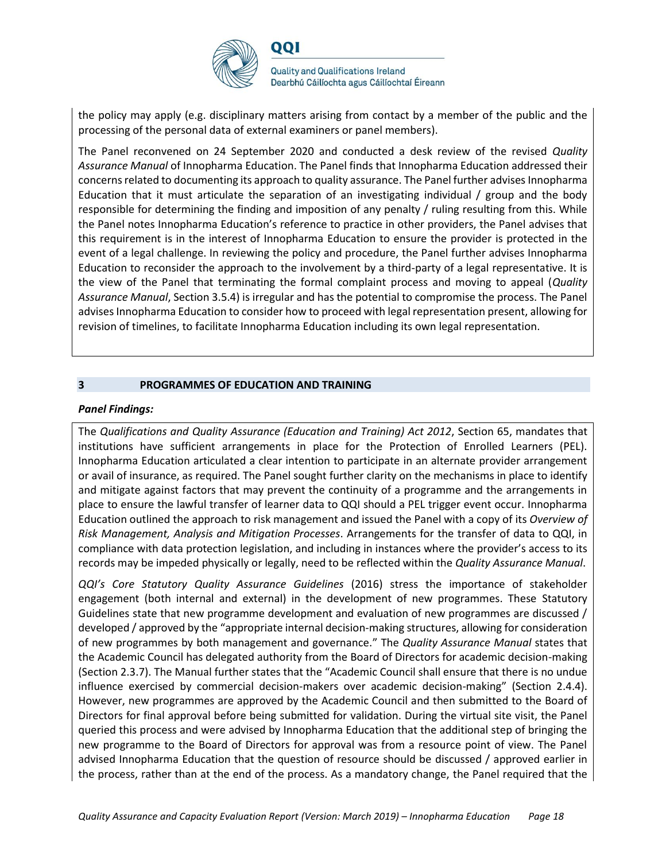

the policy may apply (e.g. disciplinary matters arising from contact by a member of the public and the processing of the personal data of external examiners or panel members).

The Panel reconvened on 24 September 2020 and conducted a desk review of the revised *Quality Assurance Manual* of Innopharma Education. The Panel finds that Innopharma Education addressed their concerns related to documenting its approach to quality assurance. The Panel further advises Innopharma Education that it must articulate the separation of an investigating individual / group and the body responsible for determining the finding and imposition of any penalty / ruling resulting from this. While the Panel notes Innopharma Education's reference to practice in other providers, the Panel advises that this requirement is in the interest of Innopharma Education to ensure the provider is protected in the event of a legal challenge. In reviewing the policy and procedure, the Panel further advises Innopharma Education to reconsider the approach to the involvement by a third-party of a legal representative. It is the view of the Panel that terminating the formal complaint process and moving to appeal (*Quality Assurance Manual*, Section 3.5.4) is irregular and has the potential to compromise the process. The Panel advises Innopharma Education to consider how to proceed with legal representation present, allowing for revision of timelines, to facilitate Innopharma Education including its own legal representation.

#### **3 PROGRAMMES OF EDUCATION AND TRAINING**

#### *Panel Findings:*

The *Qualifications and Quality Assurance (Education and Training) Act 2012*, Section 65, mandates that institutions have sufficient arrangements in place for the Protection of Enrolled Learners (PEL). Innopharma Education articulated a clear intention to participate in an alternate provider arrangement or avail of insurance, as required. The Panel sought further clarity on the mechanisms in place to identify and mitigate against factors that may prevent the continuity of a programme and the arrangements in place to ensure the lawful transfer of learner data to QQI should a PEL trigger event occur. Innopharma Education outlined the approach to risk management and issued the Panel with a copy of its *Overview of Risk Management, Analysis and Mitigation Processes*. Arrangements for the transfer of data to QQI, in compliance with data protection legislation, and including in instances where the provider's access to its records may be impeded physically or legally, need to be reflected within the *Quality Assurance Manual*.

*QQI's Core Statutory Quality Assurance Guidelines* (2016) stress the importance of stakeholder engagement (both internal and external) in the development of new programmes. These Statutory Guidelines state that new programme development and evaluation of new programmes are discussed / developed / approved by the "appropriate internal decision-making structures, allowing for consideration of new programmes by both management and governance." The *Quality Assurance Manual* states that the Academic Council has delegated authority from the Board of Directors for academic decision-making (Section 2.3.7). The Manual further states that the "Academic Council shall ensure that there is no undue influence exercised by commercial decision-makers over academic decision-making" (Section 2.4.4). However, new programmes are approved by the Academic Council and then submitted to the Board of Directors for final approval before being submitted for validation. During the virtual site visit, the Panel queried this process and were advised by Innopharma Education that the additional step of bringing the new programme to the Board of Directors for approval was from a resource point of view. The Panel advised Innopharma Education that the question of resource should be discussed / approved earlier in the process, rather than at the end of the process. As a mandatory change, the Panel required that the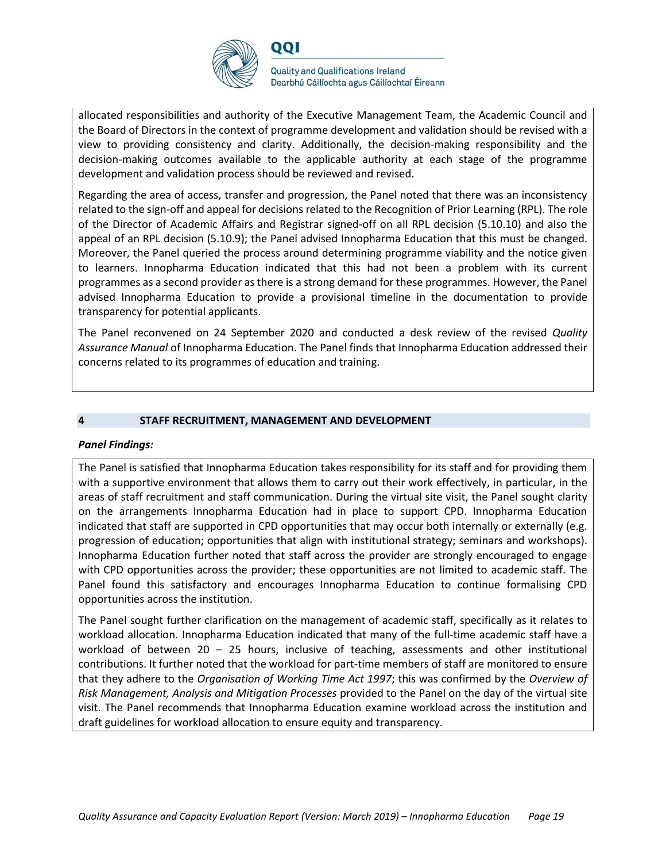

allocated responsibilities and authority of the Executive Management Team, the Academic Council and the Board of Directors in the context of programme development and validation should be revised with a view to providing consistency and clarity. Additionally, the decision-making responsibility and the decision-making outcomes available to the applicable authority at each stage of the programme development and validation process should be reviewed and revised.

Regarding the area of access, transfer and progression, the Panel noted that there was an inconsistency related to the sign-off and appeal for decisions related to the Recognition of Prior Learning (RPL). The role of the Director of Academic Affairs and Registrar signed-off on all RPL decision (5.10.10) and also the appeal of an RPL decision (5.10.9); the Panel advised Innopharma Education that this must be changed. Moreover, the Panel queried the process around determining programme viability and the notice given to learners. Innopharma Education indicated that this had not been a problem with its current programmes as a second provider as there is a strong demand for these programmes. However, the Panel advised Innopharma Education to provide a provisional timeline in the documentation to provide transparency for potential applicants.

The Panel reconvened on 24 September 2020 and conducted a desk review of the revised *Quality Assurance Manual* of Innopharma Education. The Panel finds that Innopharma Education addressed their concerns related to its programmes of education and training.

#### **4 STAFF RECRUITMENT, MANAGEMENT AND DEVELOPMENT**

#### *Panel Findings:*

The Panel is satisfied that Innopharma Education takes responsibility for its staff and for providing them with a supportive environment that allows them to carry out their work effectively, in particular, in the areas of staff recruitment and staff communication. During the virtual site visit, the Panel sought clarity on the arrangements Innopharma Education had in place to support CPD. Innopharma Education indicated that staff are supported in CPD opportunities that may occur both internally or externally (e.g. progression of education; opportunities that align with institutional strategy; seminars and workshops). Innopharma Education further noted that staff across the provider are strongly encouraged to engage with CPD opportunities across the provider; these opportunities are not limited to academic staff. The Panel found this satisfactory and encourages Innopharma Education to continue formalising CPD opportunities across the institution.

The Panel sought further clarification on the management of academic staff, specifically as it relates to workload allocation. Innopharma Education indicated that many of the full-time academic staff have a workload of between  $20 - 25$  hours, inclusive of teaching, assessments and other institutional contributions. It further noted that the workload for part-time members of staff are monitored to ensure that they adhere to the *Organisation of Working Time Act 1997*; this was confirmed by the *Overview of Risk Management, Analysis and Mitigation Processes* provided to the Panel on the day of the virtual site visit. The Panel recommends that Innopharma Education examine workload across the institution and draft guidelines for workload allocation to ensure equity and transparency.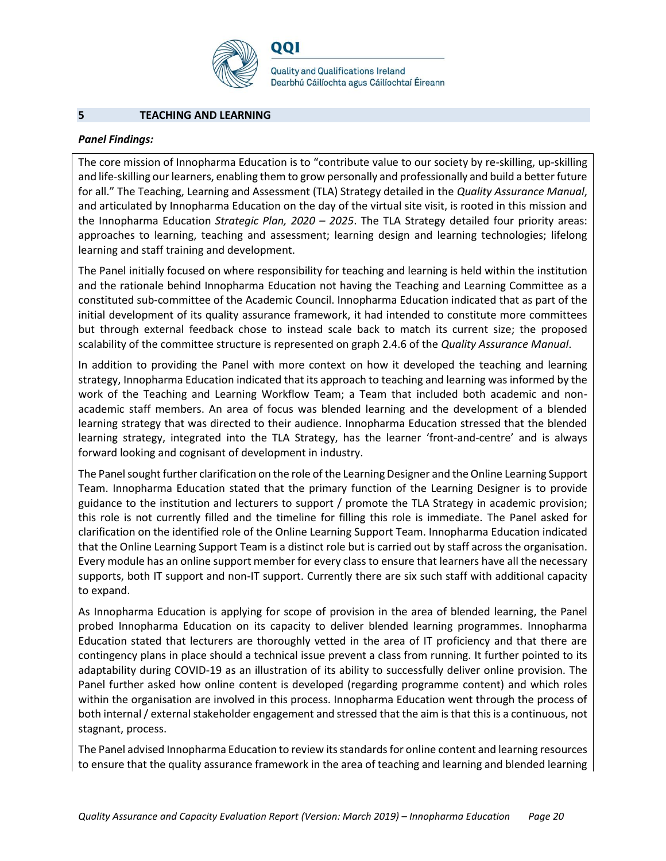

001

**Quality and Qualifications Ireland** Dearbhú Cáilíochta agus Cáilíochtaí Éireann

#### **5 TEACHING AND LEARNING**

#### *Panel Findings:*

The core mission of Innopharma Education is to "contribute value to our society by re-skilling, up-skilling and life-skilling our learners, enabling them to grow personally and professionally and build a better future for all." The Teaching, Learning and Assessment (TLA) Strategy detailed in the *Quality Assurance Manual*, and articulated by Innopharma Education on the day of the virtual site visit, is rooted in this mission and the Innopharma Education *Strategic Plan, 2020 – 2025*. The TLA Strategy detailed four priority areas: approaches to learning, teaching and assessment; learning design and learning technologies; lifelong learning and staff training and development.

The Panel initially focused on where responsibility for teaching and learning is held within the institution and the rationale behind Innopharma Education not having the Teaching and Learning Committee as a constituted sub-committee of the Academic Council. Innopharma Education indicated that as part of the initial development of its quality assurance framework, it had intended to constitute more committees but through external feedback chose to instead scale back to match its current size; the proposed scalability of the committee structure is represented on graph 2.4.6 of the *Quality Assurance Manual*.

In addition to providing the Panel with more context on how it developed the teaching and learning strategy, Innopharma Education indicated that its approach to teaching and learning was informed by the work of the Teaching and Learning Workflow Team; a Team that included both academic and nonacademic staff members. An area of focus was blended learning and the development of a blended learning strategy that was directed to their audience. Innopharma Education stressed that the blended learning strategy, integrated into the TLA Strategy, has the learner 'front-and-centre' and is always forward looking and cognisant of development in industry.

The Panel sought further clarification on the role of the Learning Designer and the Online Learning Support Team. Innopharma Education stated that the primary function of the Learning Designer is to provide guidance to the institution and lecturers to support / promote the TLA Strategy in academic provision; this role is not currently filled and the timeline for filling this role is immediate. The Panel asked for clarification on the identified role of the Online Learning Support Team. Innopharma Education indicated that the Online Learning Support Team is a distinct role but is carried out by staff across the organisation. Every module has an online support member for every class to ensure that learners have all the necessary supports, both IT support and non-IT support. Currently there are six such staff with additional capacity to expand.

As Innopharma Education is applying for scope of provision in the area of blended learning, the Panel probed Innopharma Education on its capacity to deliver blended learning programmes. Innopharma Education stated that lecturers are thoroughly vetted in the area of IT proficiency and that there are contingency plans in place should a technical issue prevent a class from running. It further pointed to its adaptability during COVID-19 as an illustration of its ability to successfully deliver online provision. The Panel further asked how online content is developed (regarding programme content) and which roles within the organisation are involved in this process. Innopharma Education went through the process of both internal / external stakeholder engagement and stressed that the aim is that this is a continuous, not stagnant, process.

The Panel advised Innopharma Education to review its standards for online content and learning resources to ensure that the quality assurance framework in the area of teaching and learning and blended learning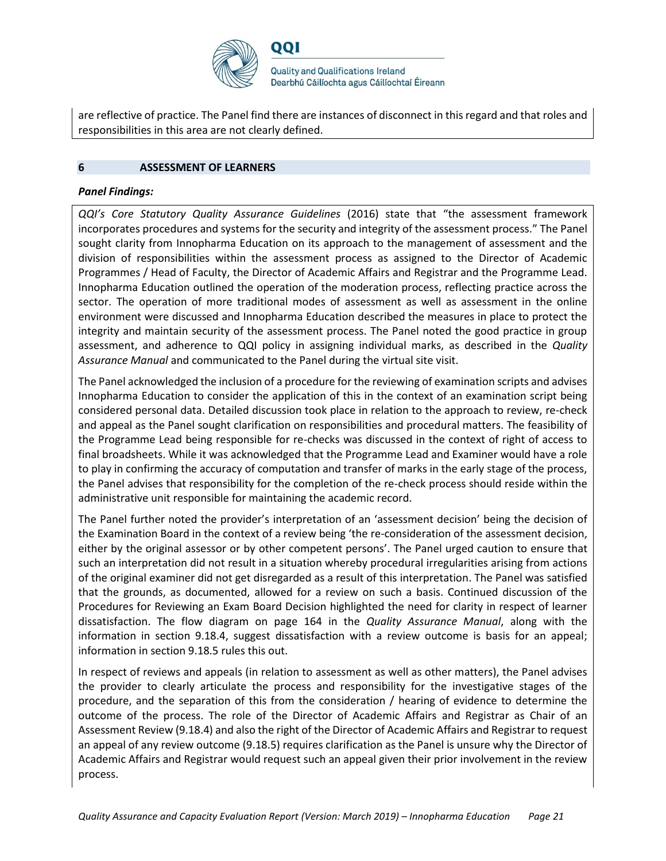

are reflective of practice. The Panel find there are instances of disconnect in this regard and that roles and responsibilities in this area are not clearly defined.

#### **6 ASSESSMENT OF LEARNERS**

#### *Panel Findings:*

*QQI's Core Statutory Quality Assurance Guidelines* (2016) state that "the assessment framework incorporates procedures and systems for the security and integrity of the assessment process." The Panel sought clarity from Innopharma Education on its approach to the management of assessment and the division of responsibilities within the assessment process as assigned to the Director of Academic Programmes / Head of Faculty, the Director of Academic Affairs and Registrar and the Programme Lead. Innopharma Education outlined the operation of the moderation process, reflecting practice across the sector. The operation of more traditional modes of assessment as well as assessment in the online environment were discussed and Innopharma Education described the measures in place to protect the integrity and maintain security of the assessment process. The Panel noted the good practice in group assessment, and adherence to QQI policy in assigning individual marks, as described in the *Quality Assurance Manual* and communicated to the Panel during the virtual site visit.

The Panel acknowledged the inclusion of a procedure for the reviewing of examination scripts and advises Innopharma Education to consider the application of this in the context of an examination script being considered personal data. Detailed discussion took place in relation to the approach to review, re-check and appeal as the Panel sought clarification on responsibilities and procedural matters. The feasibility of the Programme Lead being responsible for re-checks was discussed in the context of right of access to final broadsheets. While it was acknowledged that the Programme Lead and Examiner would have a role to play in confirming the accuracy of computation and transfer of marks in the early stage of the process, the Panel advises that responsibility for the completion of the re-check process should reside within the administrative unit responsible for maintaining the academic record.

The Panel further noted the provider's interpretation of an 'assessment decision' being the decision of the Examination Board in the context of a review being 'the re-consideration of the assessment decision, either by the original assessor or by other competent persons'. The Panel urged caution to ensure that such an interpretation did not result in a situation whereby procedural irregularities arising from actions of the original examiner did not get disregarded as a result of this interpretation. The Panel was satisfied that the grounds, as documented, allowed for a review on such a basis. Continued discussion of the Procedures for Reviewing an Exam Board Decision highlighted the need for clarity in respect of learner dissatisfaction. The flow diagram on page 164 in the *Quality Assurance Manual*, along with the information in section 9.18.4, suggest dissatisfaction with a review outcome is basis for an appeal; information in section 9.18.5 rules this out.

In respect of reviews and appeals (in relation to assessment as well as other matters), the Panel advises the provider to clearly articulate the process and responsibility for the investigative stages of the procedure, and the separation of this from the consideration / hearing of evidence to determine the outcome of the process. The role of the Director of Academic Affairs and Registrar as Chair of an Assessment Review (9.18.4) and also the right of the Director of Academic Affairs and Registrar to request an appeal of any review outcome (9.18.5) requires clarification as the Panel is unsure why the Director of Academic Affairs and Registrar would request such an appeal given their prior involvement in the review process.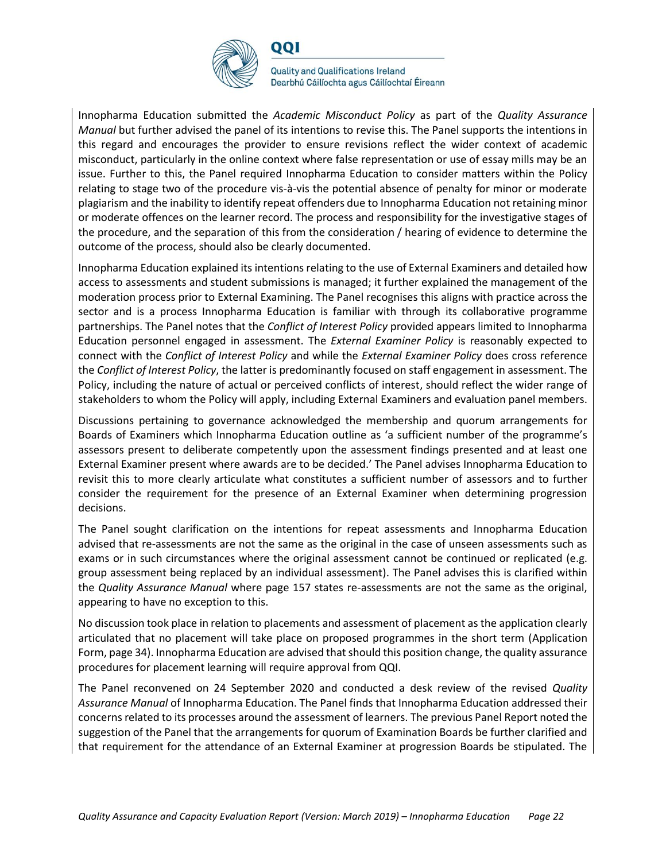

001

**Quality and Qualifications Ireland** Dearbhú Cáilíochta agus Cáilíochtaí Éireann

Innopharma Education submitted the *Academic Misconduct Policy* as part of the *Quality Assurance Manual* but further advised the panel of its intentions to revise this. The Panel supports the intentions in this regard and encourages the provider to ensure revisions reflect the wider context of academic misconduct, particularly in the online context where false representation or use of essay mills may be an issue. Further to this, the Panel required Innopharma Education to consider matters within the Policy relating to stage two of the procedure vis-à-vis the potential absence of penalty for minor or moderate plagiarism and the inability to identify repeat offenders due to Innopharma Education not retaining minor or moderate offences on the learner record. The process and responsibility for the investigative stages of the procedure, and the separation of this from the consideration / hearing of evidence to determine the outcome of the process, should also be clearly documented.

Innopharma Education explained its intentions relating to the use of External Examiners and detailed how access to assessments and student submissions is managed; it further explained the management of the moderation process prior to External Examining. The Panel recognises this aligns with practice across the sector and is a process Innopharma Education is familiar with through its collaborative programme partnerships. The Panel notes that the *Conflict of Interest Policy* provided appears limited to Innopharma Education personnel engaged in assessment. The *External Examiner Policy* is reasonably expected to connect with the *Conflict of Interest Policy* and while the *External Examiner Policy* does cross reference the *Conflict of Interest Policy*, the latter is predominantly focused on staff engagement in assessment. The Policy, including the nature of actual or perceived conflicts of interest, should reflect the wider range of stakeholders to whom the Policy will apply, including External Examiners and evaluation panel members.

Discussions pertaining to governance acknowledged the membership and quorum arrangements for Boards of Examiners which Innopharma Education outline as 'a sufficient number of the programme's assessors present to deliberate competently upon the assessment findings presented and at least one External Examiner present where awards are to be decided.' The Panel advises Innopharma Education to revisit this to more clearly articulate what constitutes a sufficient number of assessors and to further consider the requirement for the presence of an External Examiner when determining progression decisions.

The Panel sought clarification on the intentions for repeat assessments and Innopharma Education advised that re-assessments are not the same as the original in the case of unseen assessments such as exams or in such circumstances where the original assessment cannot be continued or replicated (e.g. group assessment being replaced by an individual assessment). The Panel advises this is clarified within the *Quality Assurance Manual* where page 157 states re-assessments are not the same as the original, appearing to have no exception to this.

No discussion took place in relation to placements and assessment of placement as the application clearly articulated that no placement will take place on proposed programmes in the short term (Application Form, page 34). Innopharma Education are advised that should this position change, the quality assurance procedures for placement learning will require approval from QQI.

The Panel reconvened on 24 September 2020 and conducted a desk review of the revised *Quality Assurance Manual* of Innopharma Education. The Panel finds that Innopharma Education addressed their concerns related to its processes around the assessment of learners. The previous Panel Report noted the suggestion of the Panel that the arrangements for quorum of Examination Boards be further clarified and that requirement for the attendance of an External Examiner at progression Boards be stipulated. The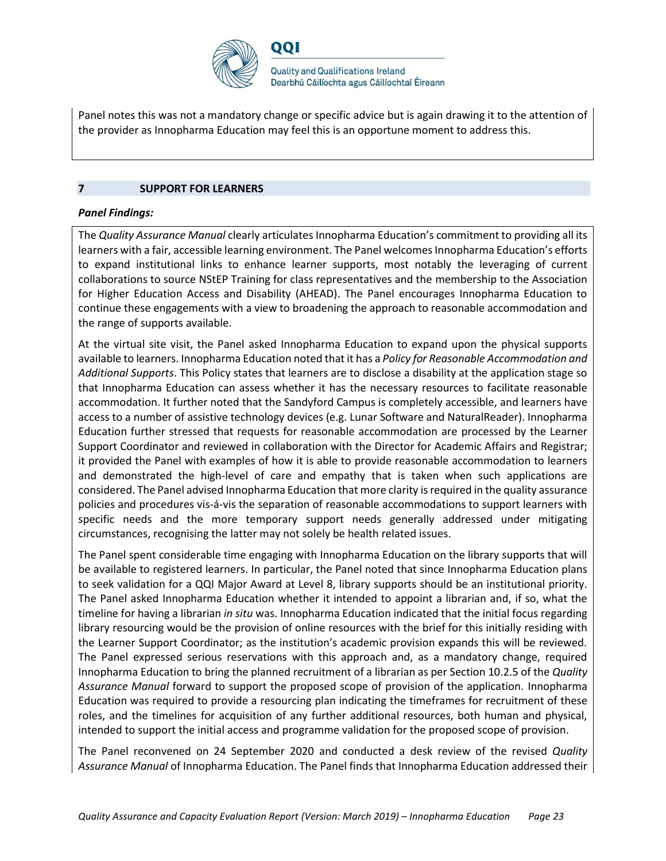

Panel notes this was not a mandatory change or specific advice but is again drawing it to the attention of the provider as Innopharma Education may feel this is an opportune moment to address this.

#### **7 SUPPORT FOR LEARNERS**

#### *Panel Findings:*

The *Quality Assurance Manual* clearly articulates Innopharma Education's commitment to providing all its learners with a fair, accessible learning environment. The Panel welcomes Innopharma Education's efforts to expand institutional links to enhance learner supports, most notably the leveraging of current collaborations to source NStEP Training for class representatives and the membership to the Association for Higher Education Access and Disability (AHEAD). The Panel encourages Innopharma Education to continue these engagements with a view to broadening the approach to reasonable accommodation and the range of supports available.

At the virtual site visit, the Panel asked Innopharma Education to expand upon the physical supports available to learners. Innopharma Education noted that it has a *Policy for Reasonable Accommodation and Additional Supports*. This Policy states that learners are to disclose a disability at the application stage so that Innopharma Education can assess whether it has the necessary resources to facilitate reasonable accommodation. It further noted that the Sandyford Campus is completely accessible, and learners have access to a number of assistive technology devices (e.g. Lunar Software and NaturalReader). Innopharma Education further stressed that requests for reasonable accommodation are processed by the Learner Support Coordinator and reviewed in collaboration with the Director for Academic Affairs and Registrar; it provided the Panel with examples of how it is able to provide reasonable accommodation to learners and demonstrated the high-level of care and empathy that is taken when such applications are considered. The Panel advised Innopharma Education that more clarity is required in the quality assurance policies and procedures vis-á-vis the separation of reasonable accommodations to support learners with specific needs and the more temporary support needs generally addressed under mitigating circumstances, recognising the latter may not solely be health related issues.

The Panel spent considerable time engaging with Innopharma Education on the library supports that will be available to registered learners. In particular, the Panel noted that since Innopharma Education plans to seek validation for a QQI Major Award at Level 8, library supports should be an institutional priority. The Panel asked Innopharma Education whether it intended to appoint a librarian and, if so, what the timeline for having a librarian *in situ* was. Innopharma Education indicated that the initial focus regarding library resourcing would be the provision of online resources with the brief for this initially residing with the Learner Support Coordinator; as the institution's academic provision expands this will be reviewed. The Panel expressed serious reservations with this approach and, as a mandatory change, required Innopharma Education to bring the planned recruitment of a librarian as per Section 10.2.5 of the *Quality Assurance Manual* forward to support the proposed scope of provision of the application. Innopharma Education was required to provide a resourcing plan indicating the timeframes for recruitment of these roles, and the timelines for acquisition of any further additional resources, both human and physical, intended to support the initial access and programme validation for the proposed scope of provision.

The Panel reconvened on 24 September 2020 and conducted a desk review of the revised *Quality Assurance Manual* of Innopharma Education. The Panel finds that Innopharma Education addressed their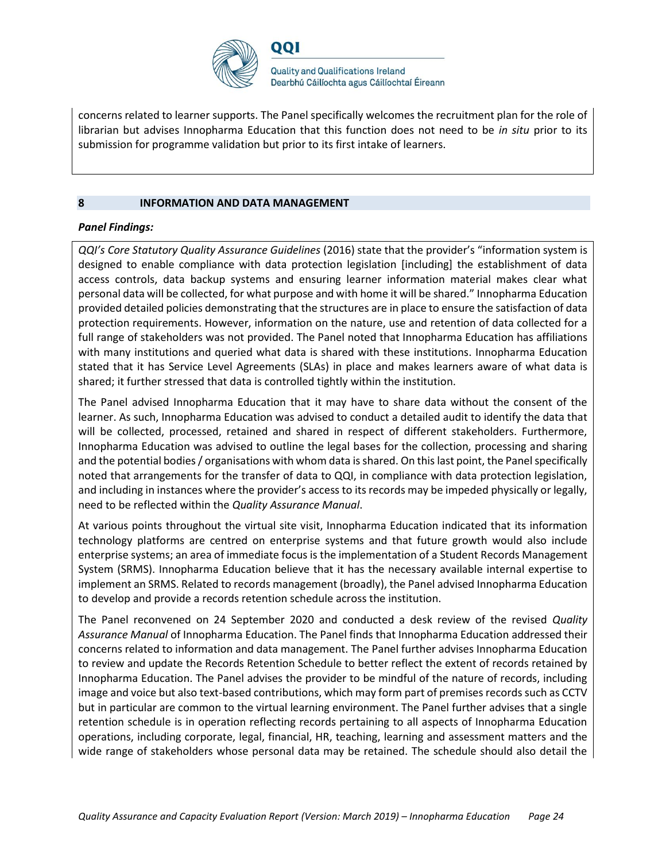

concerns related to learner supports. The Panel specifically welcomes the recruitment plan for the role of librarian but advises Innopharma Education that this function does not need to be *in situ* prior to its submission for programme validation but prior to its first intake of learners.

#### **8 INFORMATION AND DATA MANAGEMENT**

#### *Panel Findings:*

*QQI's Core Statutory Quality Assurance Guidelines* (2016) state that the provider's "information system is designed to enable compliance with data protection legislation [including] the establishment of data access controls, data backup systems and ensuring learner information material makes clear what personal data will be collected, for what purpose and with home it will be shared." Innopharma Education provided detailed policies demonstrating that the structures are in place to ensure the satisfaction of data protection requirements. However, information on the nature, use and retention of data collected for a full range of stakeholders was not provided. The Panel noted that Innopharma Education has affiliations with many institutions and queried what data is shared with these institutions. Innopharma Education stated that it has Service Level Agreements (SLAs) in place and makes learners aware of what data is shared; it further stressed that data is controlled tightly within the institution.

The Panel advised Innopharma Education that it may have to share data without the consent of the learner. As such, Innopharma Education was advised to conduct a detailed audit to identify the data that will be collected, processed, retained and shared in respect of different stakeholders. Furthermore, Innopharma Education was advised to outline the legal bases for the collection, processing and sharing and the potential bodies / organisations with whom data is shared. On this last point, the Panel specifically noted that arrangements for the transfer of data to QQI, in compliance with data protection legislation, and including in instances where the provider's access to its records may be impeded physically or legally, need to be reflected within the *Quality Assurance Manual*.

At various points throughout the virtual site visit, Innopharma Education indicated that its information technology platforms are centred on enterprise systems and that future growth would also include enterprise systems; an area of immediate focus is the implementation of a Student Records Management System (SRMS). Innopharma Education believe that it has the necessary available internal expertise to implement an SRMS. Related to records management (broadly), the Panel advised Innopharma Education to develop and provide a records retention schedule across the institution.

The Panel reconvened on 24 September 2020 and conducted a desk review of the revised *Quality Assurance Manual* of Innopharma Education. The Panel finds that Innopharma Education addressed their concerns related to information and data management. The Panel further advises Innopharma Education to review and update the Records Retention Schedule to better reflect the extent of records retained by Innopharma Education. The Panel advises the provider to be mindful of the nature of records, including image and voice but also text-based contributions, which may form part of premises records such as CCTV but in particular are common to the virtual learning environment. The Panel further advises that a single retention schedule is in operation reflecting records pertaining to all aspects of Innopharma Education operations, including corporate, legal, financial, HR, teaching, learning and assessment matters and the wide range of stakeholders whose personal data may be retained. The schedule should also detail the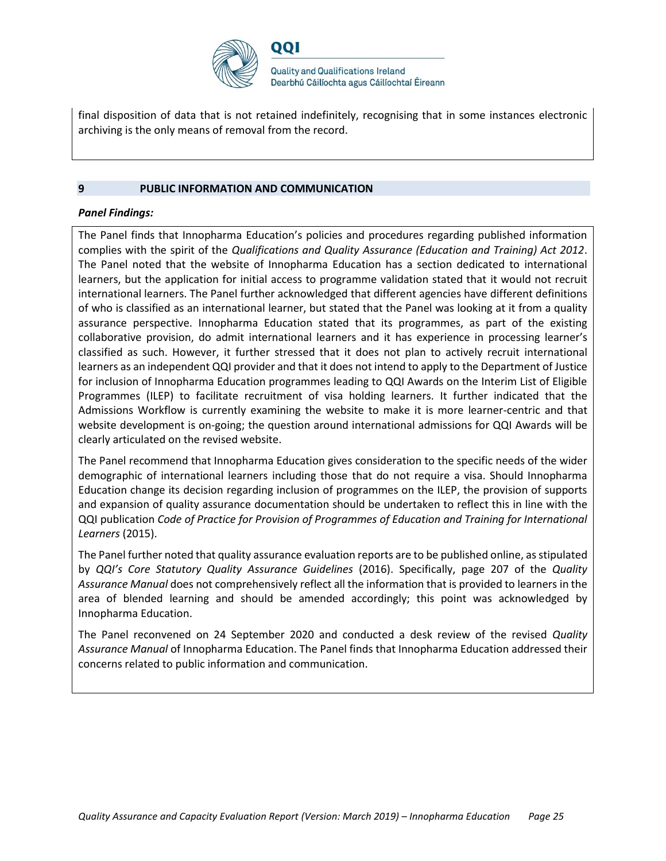

final disposition of data that is not retained indefinitely, recognising that in some instances electronic archiving is the only means of removal from the record.

#### **9 PUBLIC INFORMATION AND COMMUNICATION**

#### *Panel Findings:*

The Panel finds that Innopharma Education's policies and procedures regarding published information complies with the spirit of the *Qualifications and Quality Assurance (Education and Training) Act 2012*. The Panel noted that the website of Innopharma Education has a section dedicated to international learners, but the application for initial access to programme validation stated that it would not recruit international learners. The Panel further acknowledged that different agencies have different definitions of who is classified as an international learner, but stated that the Panel was looking at it from a quality assurance perspective. Innopharma Education stated that its programmes, as part of the existing collaborative provision, do admit international learners and it has experience in processing learner's classified as such. However, it further stressed that it does not plan to actively recruit international learners as an independent QQI provider and that it does not intend to apply to the Department of Justice for inclusion of Innopharma Education programmes leading to QQI Awards on the Interim List of Eligible Programmes (ILEP) to facilitate recruitment of visa holding learners. It further indicated that the Admissions Workflow is currently examining the website to make it is more learner-centric and that website development is on-going; the question around international admissions for QQI Awards will be clearly articulated on the revised website.

The Panel recommend that Innopharma Education gives consideration to the specific needs of the wider demographic of international learners including those that do not require a visa. Should Innopharma Education change its decision regarding inclusion of programmes on the ILEP, the provision of supports and expansion of quality assurance documentation should be undertaken to reflect this in line with the QQI publication *Code of Practice for Provision of Programmes of Education and Training for International Learners* (2015).

The Panel further noted that quality assurance evaluation reports are to be published online, as stipulated by *QQI's Core Statutory Quality Assurance Guidelines* (2016). Specifically, page 207 of the *Quality Assurance Manual* does not comprehensively reflect all the information that is provided to learners in the area of blended learning and should be amended accordingly; this point was acknowledged by Innopharma Education.

The Panel reconvened on 24 September 2020 and conducted a desk review of the revised *Quality Assurance Manual* of Innopharma Education. The Panel finds that Innopharma Education addressed their concerns related to public information and communication.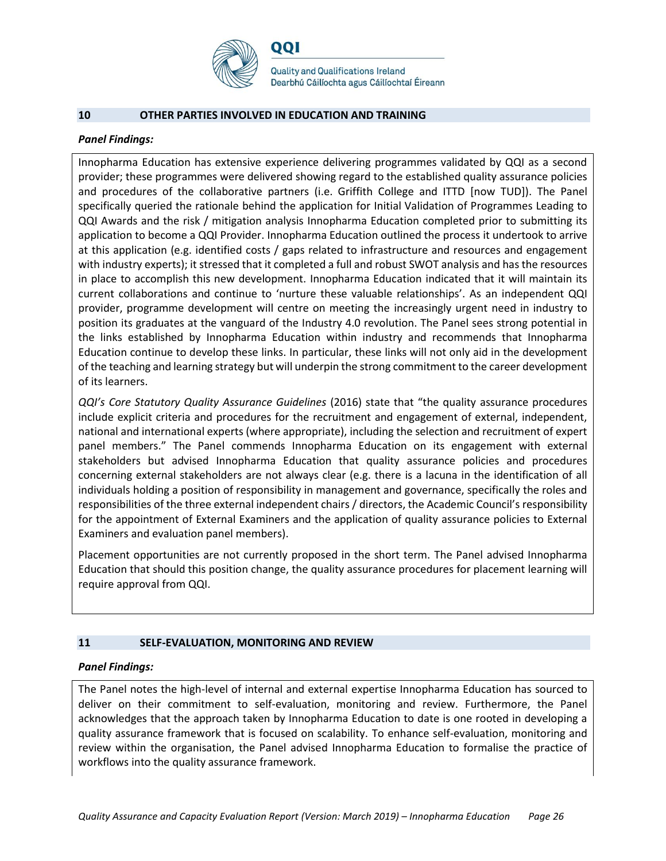

#### **10 OTHER PARTIES INVOLVED IN EDUCATION AND TRAINING**

#### *Panel Findings:*

Innopharma Education has extensive experience delivering programmes validated by QQI as a second provider; these programmes were delivered showing regard to the established quality assurance policies and procedures of the collaborative partners (i.e. Griffith College and ITTD [now TUD]). The Panel specifically queried the rationale behind the application for Initial Validation of Programmes Leading to QQI Awards and the risk / mitigation analysis Innopharma Education completed prior to submitting its application to become a QQI Provider. Innopharma Education outlined the process it undertook to arrive at this application (e.g. identified costs / gaps related to infrastructure and resources and engagement with industry experts); it stressed that it completed a full and robust SWOT analysis and has the resources in place to accomplish this new development. Innopharma Education indicated that it will maintain its current collaborations and continue to 'nurture these valuable relationships'. As an independent QQI provider, programme development will centre on meeting the increasingly urgent need in industry to position its graduates at the vanguard of the Industry 4.0 revolution. The Panel sees strong potential in the links established by Innopharma Education within industry and recommends that Innopharma Education continue to develop these links. In particular, these links will not only aid in the development of the teaching and learning strategy but will underpin the strong commitment to the career development of its learners.

*QQI's Core Statutory Quality Assurance Guidelines* (2016) state that "the quality assurance procedures include explicit criteria and procedures for the recruitment and engagement of external, independent, national and international experts (where appropriate), including the selection and recruitment of expert panel members." The Panel commends Innopharma Education on its engagement with external stakeholders but advised Innopharma Education that quality assurance policies and procedures concerning external stakeholders are not always clear (e.g. there is a lacuna in the identification of all individuals holding a position of responsibility in management and governance, specifically the roles and responsibilities of the three external independent chairs / directors, the Academic Council's responsibility for the appointment of External Examiners and the application of quality assurance policies to External Examiners and evaluation panel members).

Placement opportunities are not currently proposed in the short term. The Panel advised Innopharma Education that should this position change, the quality assurance procedures for placement learning will require approval from QQI.

#### **11 SELF-EVALUATION, MONITORING AND REVIEW**

#### *Panel Findings:*

The Panel notes the high-level of internal and external expertise Innopharma Education has sourced to deliver on their commitment to self-evaluation, monitoring and review. Furthermore, the Panel acknowledges that the approach taken by Innopharma Education to date is one rooted in developing a quality assurance framework that is focused on scalability. To enhance self-evaluation, monitoring and review within the organisation, the Panel advised Innopharma Education to formalise the practice of workflows into the quality assurance framework.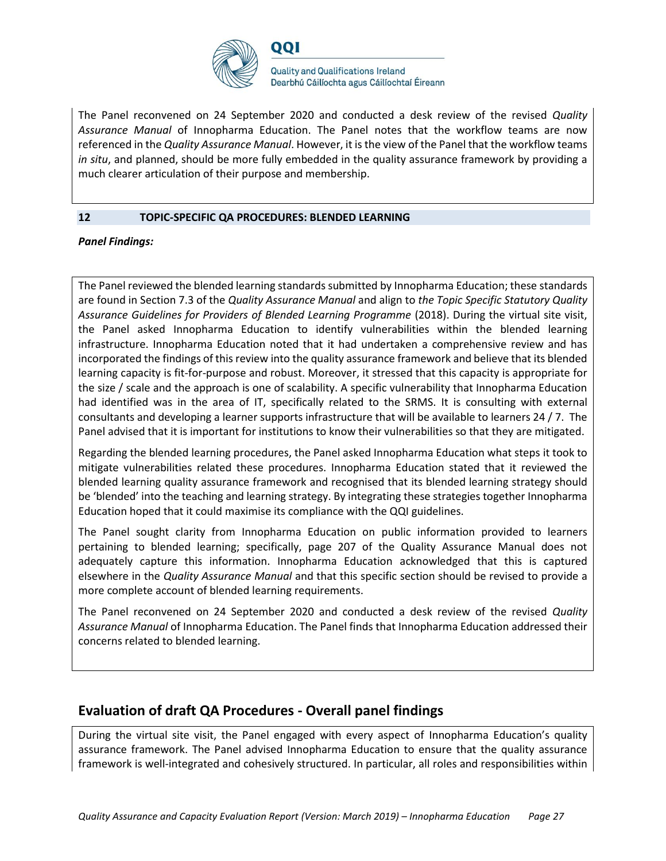

The Panel reconvened on 24 September 2020 and conducted a desk review of the revised *Quality Assurance Manual* of Innopharma Education. The Panel notes that the workflow teams are now referenced in the *Quality Assurance Manual*. However, it is the view of the Panel that the workflow teams *in situ*, and planned, should be more fully embedded in the quality assurance framework by providing a much clearer articulation of their purpose and membership.

#### **12 TOPIC-SPECIFIC QA PROCEDURES: BLENDED LEARNING**

*Panel Findings:*

The Panel reviewed the blended learning standards submitted by Innopharma Education; these standards are found in Section 7.3 of the *Quality Assurance Manual* and align to *the Topic Specific Statutory Quality Assurance Guidelines for Providers of Blended Learning Programme* (2018). During the virtual site visit, the Panel asked Innopharma Education to identify vulnerabilities within the blended learning infrastructure. Innopharma Education noted that it had undertaken a comprehensive review and has incorporated the findings of this review into the quality assurance framework and believe that its blended learning capacity is fit-for-purpose and robust. Moreover, it stressed that this capacity is appropriate for the size / scale and the approach is one of scalability. A specific vulnerability that Innopharma Education had identified was in the area of IT, specifically related to the SRMS. It is consulting with external consultants and developing a learner supports infrastructure that will be available to learners 24 / 7. The Panel advised that it is important for institutions to know their vulnerabilities so that they are mitigated.

Regarding the blended learning procedures, the Panel asked Innopharma Education what steps it took to mitigate vulnerabilities related these procedures. Innopharma Education stated that it reviewed the blended learning quality assurance framework and recognised that its blended learning strategy should be 'blended' into the teaching and learning strategy. By integrating these strategies together Innopharma Education hoped that it could maximise its compliance with the QQI guidelines.

The Panel sought clarity from Innopharma Education on public information provided to learners pertaining to blended learning; specifically, page 207 of the Quality Assurance Manual does not adequately capture this information. Innopharma Education acknowledged that this is captured elsewhere in the *Quality Assurance Manual* and that this specific section should be revised to provide a more complete account of blended learning requirements.

The Panel reconvened on 24 September 2020 and conducted a desk review of the revised *Quality Assurance Manual* of Innopharma Education. The Panel finds that Innopharma Education addressed their concerns related to blended learning.

## **Evaluation of draft QA Procedures - Overall panel findings**

During the virtual site visit, the Panel engaged with every aspect of Innopharma Education's quality assurance framework. The Panel advised Innopharma Education to ensure that the quality assurance framework is well-integrated and cohesively structured. In particular, all roles and responsibilities within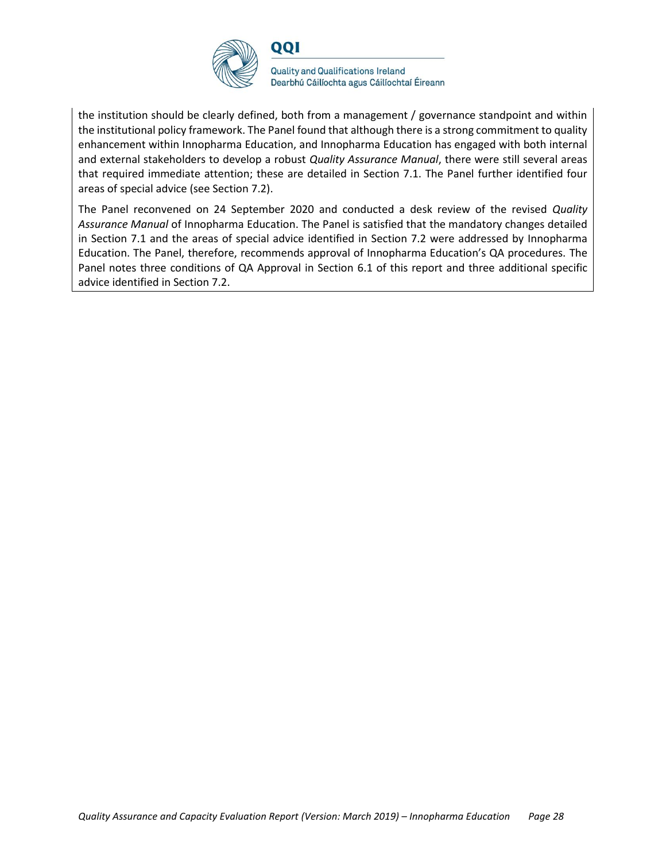

the institution should be clearly defined, both from a management / governance standpoint and within the institutional policy framework. The Panel found that although there is a strong commitment to quality enhancement within Innopharma Education, and Innopharma Education has engaged with both internal and external stakeholders to develop a robust *Quality Assurance Manual*, there were still several areas that required immediate attention; these are detailed in Section 7.1. The Panel further identified four areas of special advice (see Section 7.2).

The Panel reconvened on 24 September 2020 and conducted a desk review of the revised *Quality Assurance Manual* of Innopharma Education. The Panel is satisfied that the mandatory changes detailed in Section 7.1 and the areas of special advice identified in Section 7.2 were addressed by Innopharma Education. The Panel, therefore, recommends approval of Innopharma Education's QA procedures. The Panel notes three conditions of QA Approval in Section 6.1 of this report and three additional specific advice identified in Section 7.2.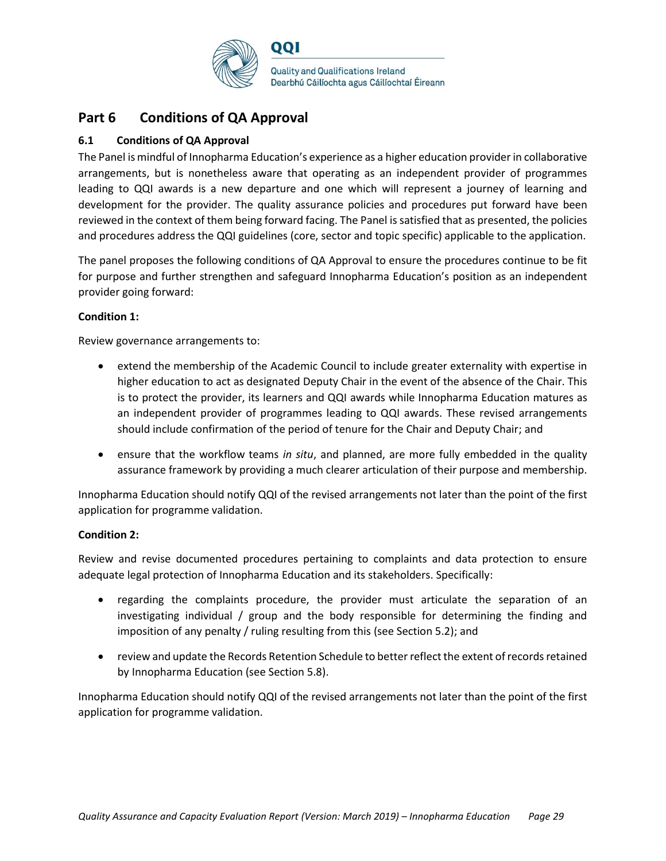

## **Part 6 Conditions of QA Approval**

#### **6.1 Conditions of QA Approval**

The Panel is mindful of Innopharma Education's experience as a higher education provider in collaborative arrangements, but is nonetheless aware that operating as an independent provider of programmes leading to QQI awards is a new departure and one which will represent a journey of learning and development for the provider. The quality assurance policies and procedures put forward have been reviewed in the context of them being forward facing. The Panel is satisfied that as presented, the policies and procedures address the QQI guidelines (core, sector and topic specific) applicable to the application.

The panel proposes the following conditions of QA Approval to ensure the procedures continue to be fit for purpose and further strengthen and safeguard Innopharma Education's position as an independent provider going forward:

#### **Condition 1:**

Review governance arrangements to:

- extend the membership of the Academic Council to include greater externality with expertise in higher education to act as designated Deputy Chair in the event of the absence of the Chair. This is to protect the provider, its learners and QQI awards while Innopharma Education matures as an independent provider of programmes leading to QQI awards. These revised arrangements should include confirmation of the period of tenure for the Chair and Deputy Chair; and
- ensure that the workflow teams *in situ*, and planned, are more fully embedded in the quality assurance framework by providing a much clearer articulation of their purpose and membership.

Innopharma Education should notify QQI of the revised arrangements not later than the point of the first application for programme validation.

#### **Condition 2:**

Review and revise documented procedures pertaining to complaints and data protection to ensure adequate legal protection of Innopharma Education and its stakeholders. Specifically:

- regarding the complaints procedure, the provider must articulate the separation of an investigating individual / group and the body responsible for determining the finding and imposition of any penalty / ruling resulting from this (see Section 5.2); and
- review and update the Records Retention Schedule to better reflect the extent of records retained by Innopharma Education (see Section 5.8).

Innopharma Education should notify QQI of the revised arrangements not later than the point of the first application for programme validation.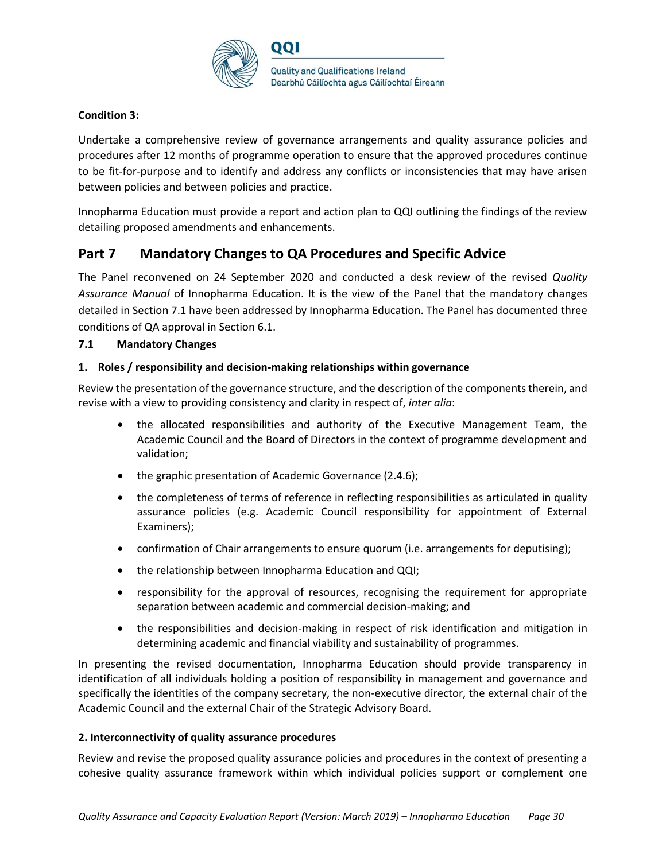

#### **Condition 3:**

Undertake a comprehensive review of governance arrangements and quality assurance policies and procedures after 12 months of programme operation to ensure that the approved procedures continue to be fit-for-purpose and to identify and address any conflicts or inconsistencies that may have arisen between policies and between policies and practice.

Innopharma Education must provide a report and action plan to QQI outlining the findings of the review detailing proposed amendments and enhancements.

## **Part 7 Mandatory Changes to QA Procedures and Specific Advice**

The Panel reconvened on 24 September 2020 and conducted a desk review of the revised *Quality Assurance Manual* of Innopharma Education. It is the view of the Panel that the mandatory changes detailed in Section 7.1 have been addressed by Innopharma Education. The Panel has documented three conditions of QA approval in Section 6.1.

#### **7.1 Mandatory Changes**

#### **1. Roles / responsibility and decision-making relationships within governance**

Review the presentation of the governance structure, and the description of the components therein, and revise with a view to providing consistency and clarity in respect of, *inter alia*:

- the allocated responsibilities and authority of the Executive Management Team, the Academic Council and the Board of Directors in the context of programme development and validation;
- the graphic presentation of Academic Governance (2.4.6);
- the completeness of terms of reference in reflecting responsibilities as articulated in quality assurance policies (e.g. Academic Council responsibility for appointment of External Examiners);
- confirmation of Chair arrangements to ensure quorum (i.e. arrangements for deputising);
- the relationship between Innopharma Education and QQI;
- responsibility for the approval of resources, recognising the requirement for appropriate separation between academic and commercial decision-making; and
- the responsibilities and decision-making in respect of risk identification and mitigation in determining academic and financial viability and sustainability of programmes.

In presenting the revised documentation, Innopharma Education should provide transparency in identification of all individuals holding a position of responsibility in management and governance and specifically the identities of the company secretary, the non-executive director, the external chair of the Academic Council and the external Chair of the Strategic Advisory Board.

#### **2. Interconnectivity of quality assurance procedures**

Review and revise the proposed quality assurance policies and procedures in the context of presenting a cohesive quality assurance framework within which individual policies support or complement one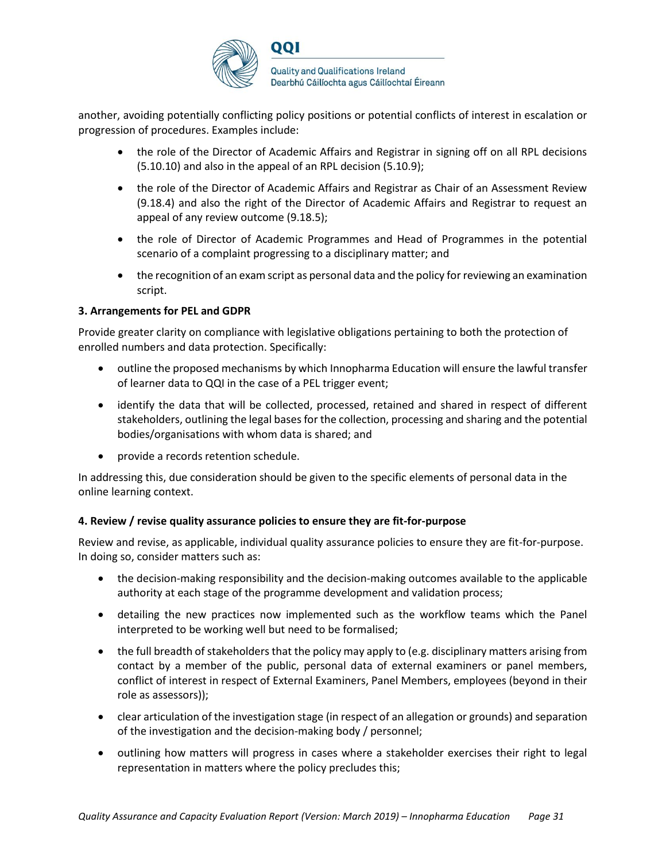

another, avoiding potentially conflicting policy positions or potential conflicts of interest in escalation or progression of procedures. Examples include:

- the role of the Director of Academic Affairs and Registrar in signing off on all RPL decisions (5.10.10) and also in the appeal of an RPL decision (5.10.9);
- the role of the Director of Academic Affairs and Registrar as Chair of an Assessment Review (9.18.4) and also the right of the Director of Academic Affairs and Registrar to request an appeal of any review outcome (9.18.5);
- the role of Director of Academic Programmes and Head of Programmes in the potential scenario of a complaint progressing to a disciplinary matter; and
- the recognition of an exam script as personal data and the policy for reviewing an examination script.

#### **3. Arrangements for PEL and GDPR**

Provide greater clarity on compliance with legislative obligations pertaining to both the protection of enrolled numbers and data protection. Specifically:

- outline the proposed mechanisms by which Innopharma Education will ensure the lawful transfer of learner data to QQI in the case of a PEL trigger event;
- identify the data that will be collected, processed, retained and shared in respect of different stakeholders, outlining the legal bases for the collection, processing and sharing and the potential bodies/organisations with whom data is shared; and
- provide a records retention schedule.

In addressing this, due consideration should be given to the specific elements of personal data in the online learning context.

#### **4. Review / revise quality assurance policies to ensure they are fit-for-purpose**

Review and revise, as applicable, individual quality assurance policies to ensure they are fit-for-purpose. In doing so, consider matters such as:

- the decision-making responsibility and the decision-making outcomes available to the applicable authority at each stage of the programme development and validation process;
- detailing the new practices now implemented such as the workflow teams which the Panel interpreted to be working well but need to be formalised;
- the full breadth of stakeholders that the policy may apply to (e.g. disciplinary matters arising from contact by a member of the public, personal data of external examiners or panel members, conflict of interest in respect of External Examiners, Panel Members, employees (beyond in their role as assessors));
- clear articulation of the investigation stage (in respect of an allegation or grounds) and separation of the investigation and the decision-making body / personnel;
- outlining how matters will progress in cases where a stakeholder exercises their right to legal representation in matters where the policy precludes this;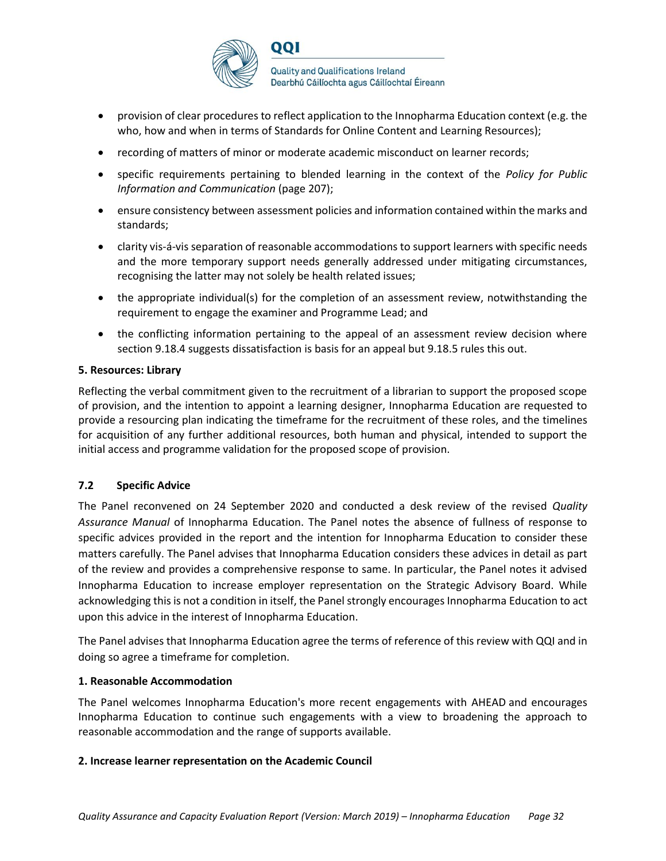

- provision of clear procedures to reflect application to the Innopharma Education context (e.g. the who, how and when in terms of Standards for Online Content and Learning Resources);
- recording of matters of minor or moderate academic misconduct on learner records;
- specific requirements pertaining to blended learning in the context of the *Policy for Public Information and Communication* (page 207);
- ensure consistency between assessment policies and information contained within the marks and standards;
- clarity vis-á-vis separation of reasonable accommodations to support learners with specific needs and the more temporary support needs generally addressed under mitigating circumstances, recognising the latter may not solely be health related issues;
- the appropriate individual(s) for the completion of an assessment review, notwithstanding the requirement to engage the examiner and Programme Lead; and
- the conflicting information pertaining to the appeal of an assessment review decision where section 9.18.4 suggests dissatisfaction is basis for an appeal but 9.18.5 rules this out.

#### **5. Resources: Library**

Reflecting the verbal commitment given to the recruitment of a librarian to support the proposed scope of provision, and the intention to appoint a learning designer, Innopharma Education are requested to provide a resourcing plan indicating the timeframe for the recruitment of these roles, and the timelines for acquisition of any further additional resources, both human and physical, intended to support the initial access and programme validation for the proposed scope of provision.

#### **7.2 Specific Advice**

The Panel reconvened on 24 September 2020 and conducted a desk review of the revised *Quality Assurance Manual* of Innopharma Education. The Panel notes the absence of fullness of response to specific advices provided in the report and the intention for Innopharma Education to consider these matters carefully. The Panel advises that Innopharma Education considers these advices in detail as part of the review and provides a comprehensive response to same. In particular, the Panel notes it advised Innopharma Education to increase employer representation on the Strategic Advisory Board. While acknowledging this is not a condition in itself, the Panel strongly encourages Innopharma Education to act upon this advice in the interest of Innopharma Education.

The Panel advises that Innopharma Education agree the terms of reference of this review with QQI and in doing so agree a timeframe for completion.

#### **1. Reasonable Accommodation**

The Panel welcomes Innopharma Education's more recent engagements with AHEAD and encourages Innopharma Education to continue such engagements with a view to broadening the approach to reasonable accommodation and the range of supports available.

#### **2. Increase learner representation on the Academic Council**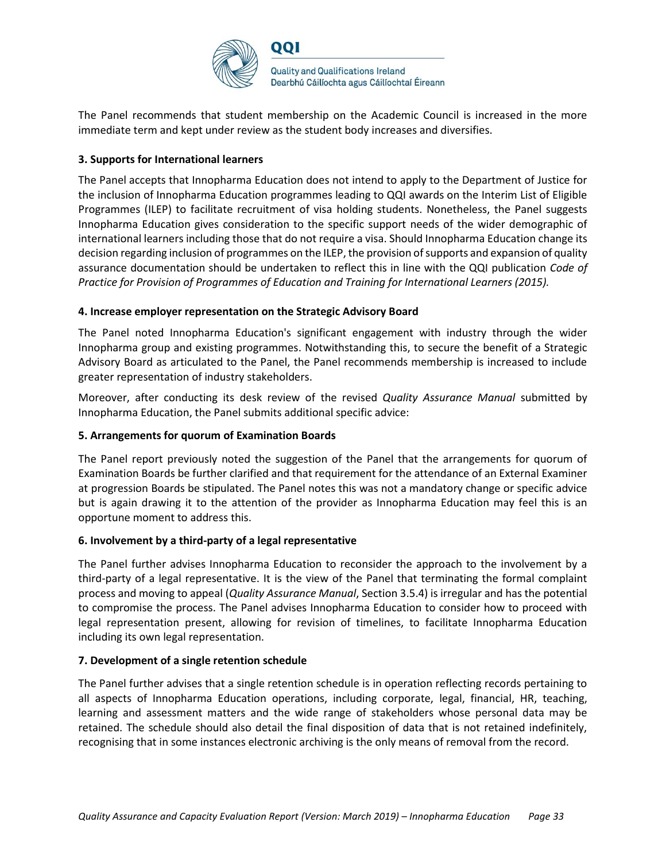

The Panel recommends that student membership on the Academic Council is increased in the more immediate term and kept under review as the student body increases and diversifies.

#### **3. Supports for International learners**

The Panel accepts that Innopharma Education does not intend to apply to the Department of Justice for the inclusion of Innopharma Education programmes leading to QQI awards on the Interim List of Eligible Programmes (ILEP) to facilitate recruitment of visa holding students. Nonetheless, the Panel suggests Innopharma Education gives consideration to the specific support needs of the wider demographic of international learners including those that do not require a visa. Should Innopharma Education change its decision regarding inclusion of programmes on the ILEP, the provision of supports and expansion of quality assurance documentation should be undertaken to reflect this in line with the QQI publication *Code of Practice for Provision of Programmes of Education and Training for International Learners (2015).* 

#### **4. Increase employer representation on the Strategic Advisory Board**

The Panel noted Innopharma Education's significant engagement with industry through the wider Innopharma group and existing programmes. Notwithstanding this, to secure the benefit of a Strategic Advisory Board as articulated to the Panel, the Panel recommends membership is increased to include greater representation of industry stakeholders.

Moreover, after conducting its desk review of the revised *Quality Assurance Manual* submitted by Innopharma Education, the Panel submits additional specific advice:

#### **5. Arrangements for quorum of Examination Boards**

The Panel report previously noted the suggestion of the Panel that the arrangements for quorum of Examination Boards be further clarified and that requirement for the attendance of an External Examiner at progression Boards be stipulated. The Panel notes this was not a mandatory change or specific advice but is again drawing it to the attention of the provider as Innopharma Education may feel this is an opportune moment to address this.

#### **6. Involvement by a third-party of a legal representative**

The Panel further advises Innopharma Education to reconsider the approach to the involvement by a third-party of a legal representative. It is the view of the Panel that terminating the formal complaint process and moving to appeal (*Quality Assurance Manual*, Section 3.5.4) is irregular and has the potential to compromise the process. The Panel advises Innopharma Education to consider how to proceed with legal representation present, allowing for revision of timelines, to facilitate Innopharma Education including its own legal representation.

#### **7. Development of a single retention schedule**

The Panel further advises that a single retention schedule is in operation reflecting records pertaining to all aspects of Innopharma Education operations, including corporate, legal, financial, HR, teaching, learning and assessment matters and the wide range of stakeholders whose personal data may be retained. The schedule should also detail the final disposition of data that is not retained indefinitely, recognising that in some instances electronic archiving is the only means of removal from the record.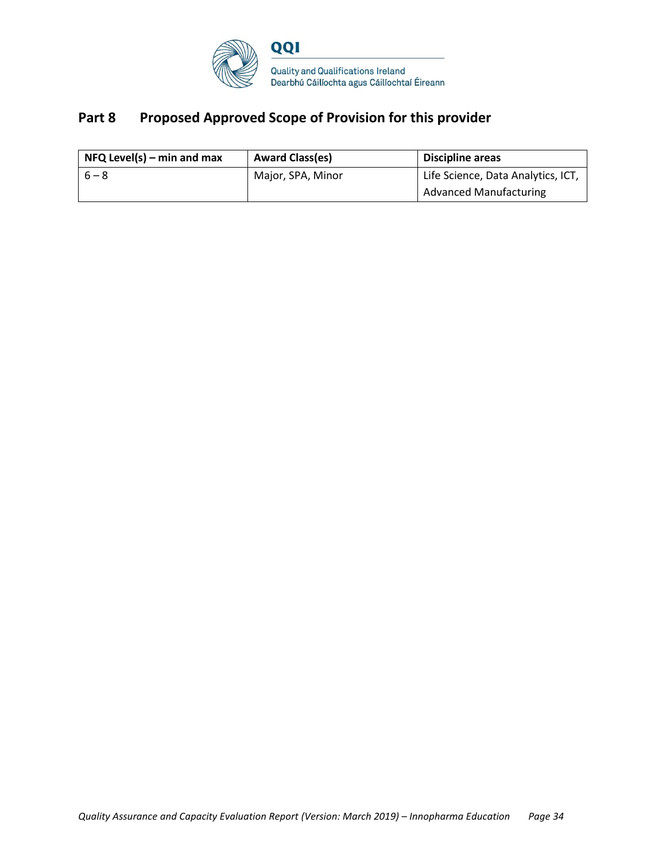

## **Part 8 Proposed Approved Scope of Provision for this provider**

| $NFQ$ Level(s) – min and max | <b>Award Class(es)</b> | Discipline areas                   |
|------------------------------|------------------------|------------------------------------|
| $6 - 8$                      | Major, SPA, Minor      | Life Science, Data Analytics, ICT, |
|                              |                        | <b>Advanced Manufacturing</b>      |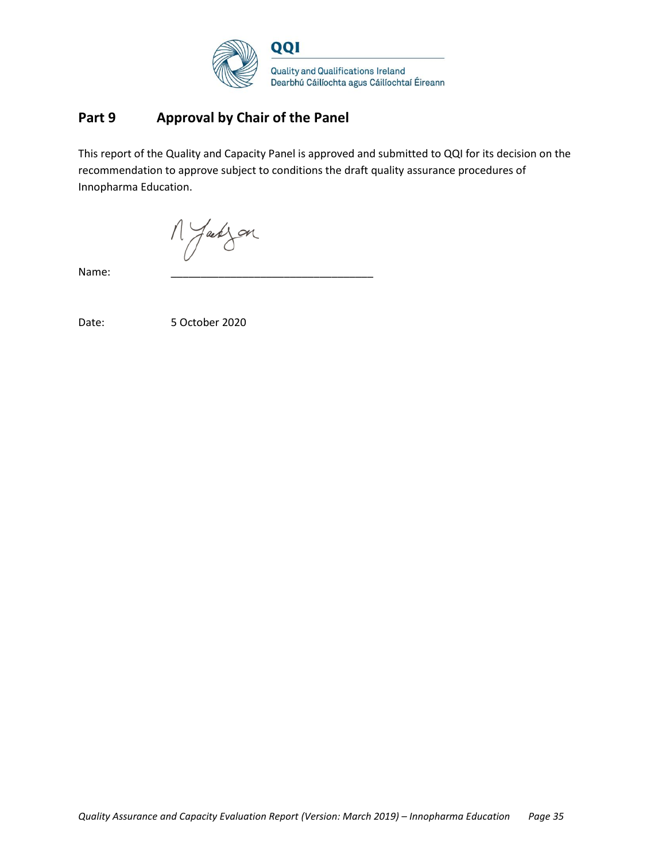

## **Part 9 Approval by Chair of the Panel**

This report of the Quality and Capacity Panel is approved and submitted to QQI for its decision on the recommendation to approve subject to conditions the draft quality assurance procedures of Innopharma Education.

M Jakzon

Name: \_\_\_\_\_\_\_\_\_\_\_\_\_\_\_\_\_\_\_\_\_\_\_\_\_\_\_\_\_\_\_\_\_\_

Date: 5 October 2020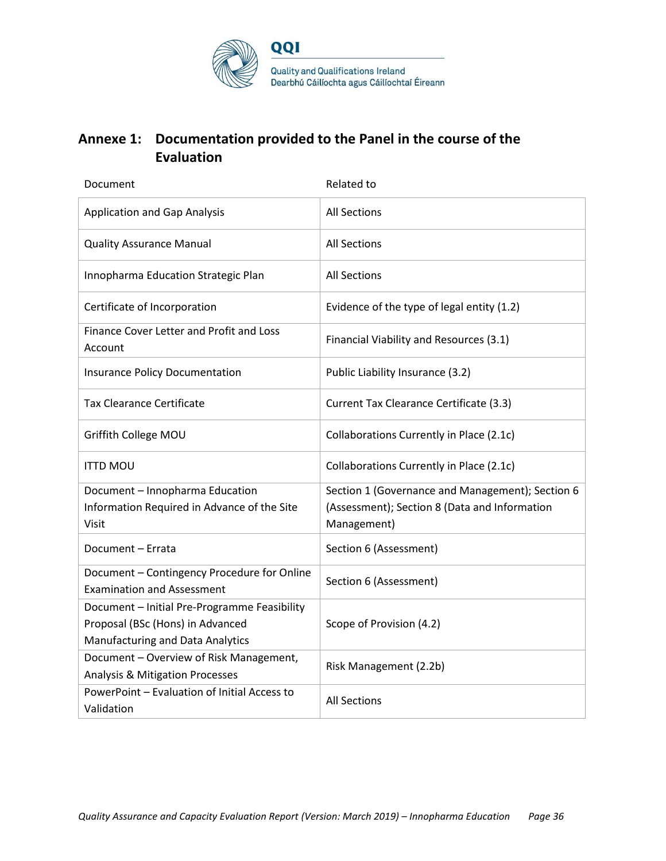

## **Annexe 1: Documentation provided to the Panel in the course of the Evaluation**

| Document                                                                                                                    | Related to                                                                                                       |
|-----------------------------------------------------------------------------------------------------------------------------|------------------------------------------------------------------------------------------------------------------|
| <b>Application and Gap Analysis</b>                                                                                         | <b>All Sections</b>                                                                                              |
| <b>Quality Assurance Manual</b>                                                                                             | <b>All Sections</b>                                                                                              |
| Innopharma Education Strategic Plan                                                                                         | <b>All Sections</b>                                                                                              |
| Certificate of Incorporation                                                                                                | Evidence of the type of legal entity (1.2)                                                                       |
| Finance Cover Letter and Profit and Loss<br>Account                                                                         | Financial Viability and Resources (3.1)                                                                          |
| <b>Insurance Policy Documentation</b>                                                                                       | Public Liability Insurance (3.2)                                                                                 |
| <b>Tax Clearance Certificate</b>                                                                                            | Current Tax Clearance Certificate (3.3)                                                                          |
| Griffith College MOU                                                                                                        | Collaborations Currently in Place (2.1c)                                                                         |
| <b>ITTD MOU</b>                                                                                                             | Collaborations Currently in Place (2.1c)                                                                         |
| Document - Innopharma Education<br>Information Required in Advance of the Site<br>Visit                                     | Section 1 (Governance and Management); Section 6<br>(Assessment); Section 8 (Data and Information<br>Management) |
| Document - Errata                                                                                                           | Section 6 (Assessment)                                                                                           |
| Document - Contingency Procedure for Online<br><b>Examination and Assessment</b>                                            | Section 6 (Assessment)                                                                                           |
| Document - Initial Pre-Programme Feasibility<br>Proposal (BSc (Hons) in Advanced<br><b>Manufacturing and Data Analytics</b> | Scope of Provision (4.2)                                                                                         |
| Document - Overview of Risk Management,<br><b>Analysis &amp; Mitigation Processes</b>                                       | Risk Management (2.2b)                                                                                           |
| PowerPoint - Evaluation of Initial Access to<br>Validation                                                                  | <b>All Sections</b>                                                                                              |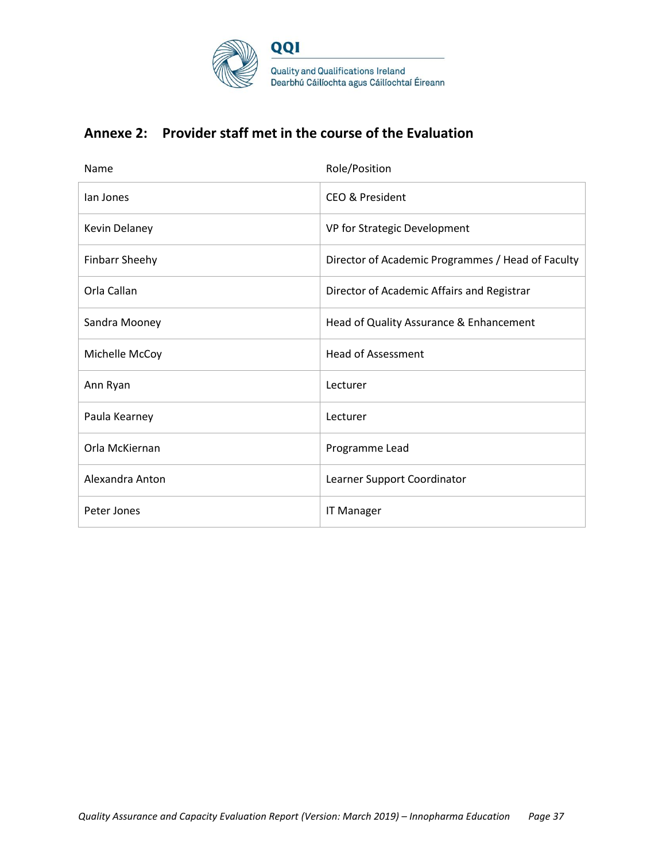

## **Annexe 2: Provider staff met in the course of the Evaluation**

| Name                  | Role/Position                                     |
|-----------------------|---------------------------------------------------|
| lan Jones             | <b>CEO &amp; President</b>                        |
| <b>Kevin Delaney</b>  | VP for Strategic Development                      |
| <b>Finbarr Sheehy</b> | Director of Academic Programmes / Head of Faculty |
| Orla Callan           | Director of Academic Affairs and Registrar        |
| Sandra Mooney         | Head of Quality Assurance & Enhancement           |
| Michelle McCoy        | <b>Head of Assessment</b>                         |
| Ann Ryan              | Lecturer                                          |
| Paula Kearney         | Lecturer                                          |
| Orla McKiernan        | Programme Lead                                    |
| Alexandra Anton       | Learner Support Coordinator                       |
| Peter Jones           | <b>IT Manager</b>                                 |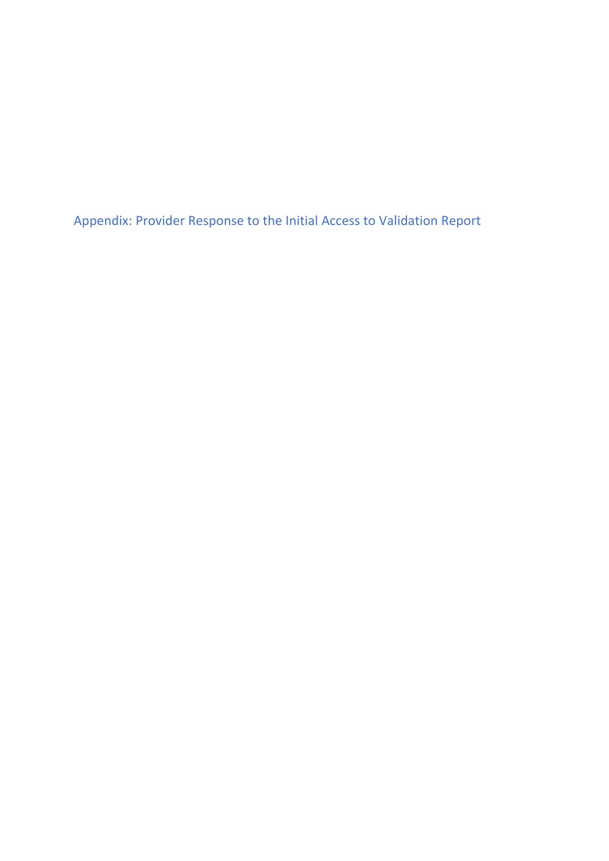Appendix: Provider Response to the Initial Access to Validation Report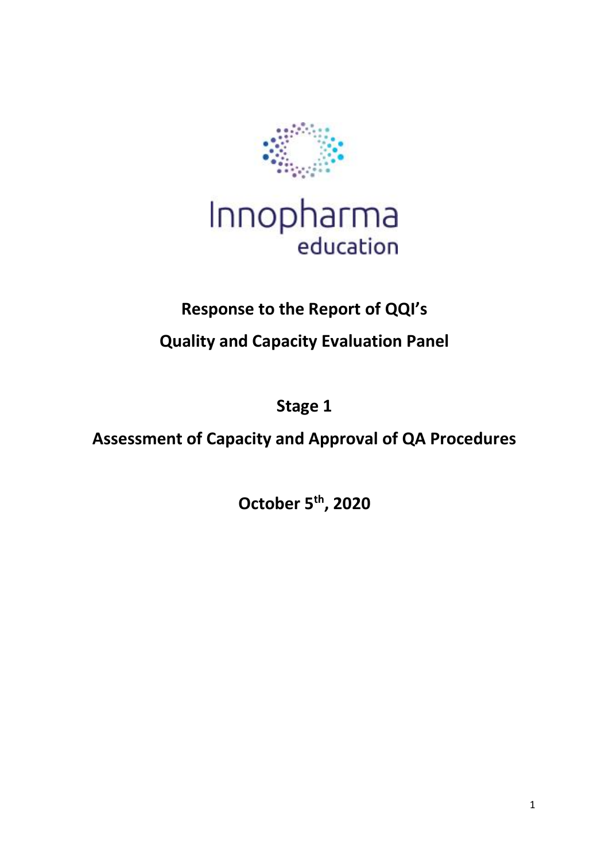



# **Response to the Report of QQI's**

**Quality and Capacity Evaluation Panel**

**Stage 1**

**Assessment of Capacity and Approval of QA Procedures**

**October 5th, 2020**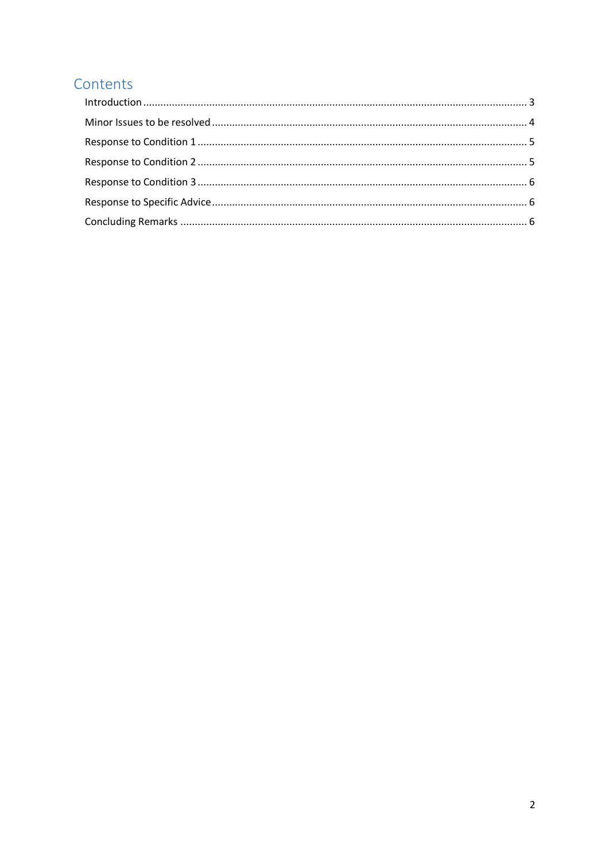## Contents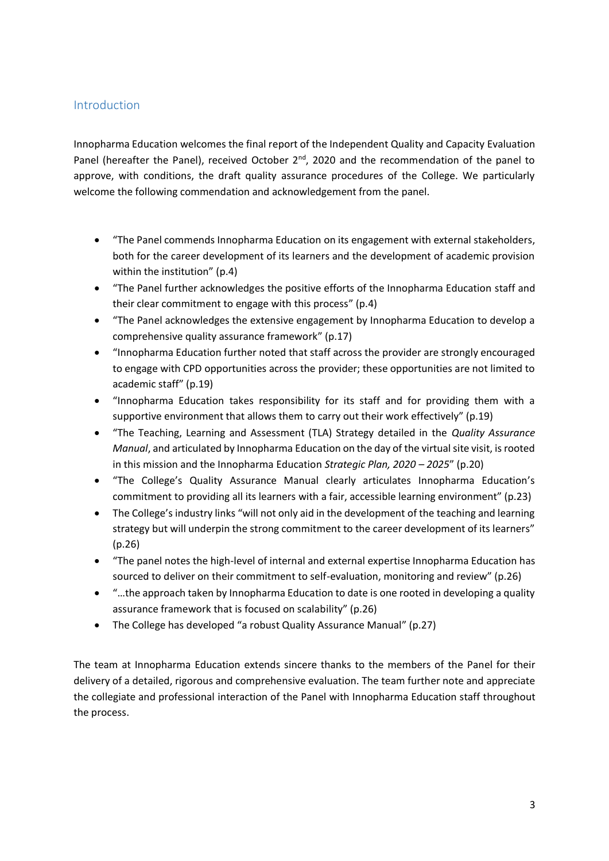#### <span id="page-40-0"></span>Introduction

Innopharma Education welcomes the final report of the Independent Quality and Capacity Evaluation Panel (hereafter the Panel), received October  $2^{nd}$ , 2020 and the recommendation of the panel to approve, with conditions, the draft quality assurance procedures of the College. We particularly welcome the following commendation and acknowledgement from the panel.

- "The Panel commends Innopharma Education on its engagement with external stakeholders, both for the career development of its learners and the development of academic provision within the institution" (p.4)
- "The Panel further acknowledges the positive efforts of the Innopharma Education staff and their clear commitment to engage with this process" (p.4)
- "The Panel acknowledges the extensive engagement by Innopharma Education to develop a comprehensive quality assurance framework" (p.17)
- "Innopharma Education further noted that staff across the provider are strongly encouraged to engage with CPD opportunities across the provider; these opportunities are not limited to academic staff" (p.19)
- "Innopharma Education takes responsibility for its staff and for providing them with a supportive environment that allows them to carry out their work effectively" (p.19)
- "The Teaching, Learning and Assessment (TLA) Strategy detailed in the *Quality Assurance Manual*, and articulated by Innopharma Education on the day of the virtual site visit, is rooted in this mission and the Innopharma Education *Strategic Plan, 2020 – 2025*" (p.20)
- "The College's Quality Assurance Manual clearly articulates Innopharma Education's commitment to providing all its learners with a fair, accessible learning environment" (p.23)
- The College's industry links "will not only aid in the development of the teaching and learning strategy but will underpin the strong commitment to the career development of its learners" (p.26)
- "The panel notes the high-level of internal and external expertise Innopharma Education has sourced to deliver on their commitment to self-evaluation, monitoring and review" (p.26)
- "...the approach taken by Innopharma Education to date is one rooted in developing a quality assurance framework that is focused on scalability" (p.26)
- The College has developed "a robust Quality Assurance Manual" (p.27)

The team at Innopharma Education extends sincere thanks to the members of the Panel for their delivery of a detailed, rigorous and comprehensive evaluation. The team further note and appreciate the collegiate and professional interaction of the Panel with Innopharma Education staff throughout the process.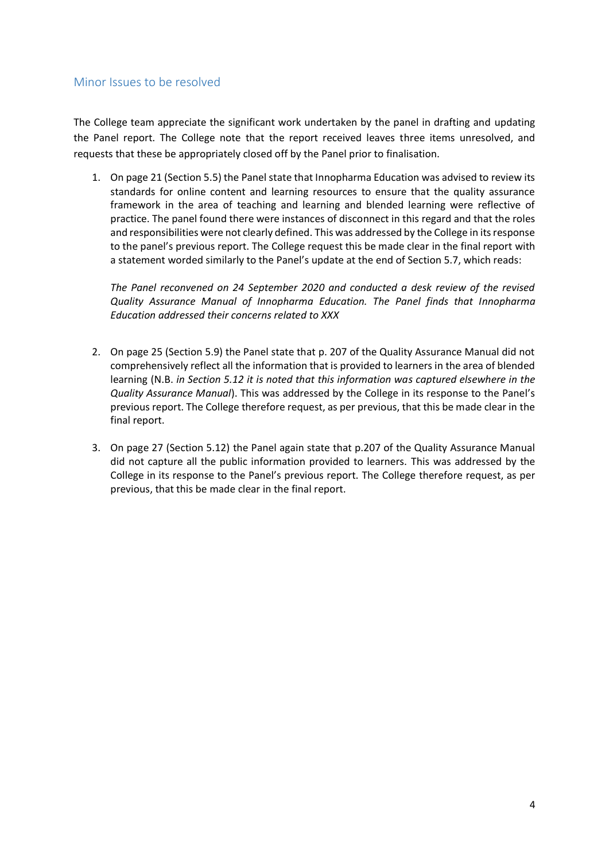#### <span id="page-41-0"></span>Minor Issues to be resolved

The College team appreciate the significant work undertaken by the panel in drafting and updating the Panel report. The College note that the report received leaves three items unresolved, and requests that these be appropriately closed off by the Panel prior to finalisation.

1. On page 21 (Section 5.5) the Panel state that Innopharma Education was advised to review its standards for online content and learning resources to ensure that the quality assurance framework in the area of teaching and learning and blended learning were reflective of practice. The panel found there were instances of disconnect in this regard and that the roles and responsibilities were not clearly defined. This was addressed by the College in its response to the panel's previous report. The College request this be made clear in the final report with a statement worded similarly to the Panel's update at the end of Section 5.7, which reads:

*The Panel reconvened on 24 September 2020 and conducted a desk review of the revised Quality Assurance Manual of Innopharma Education. The Panel finds that Innopharma Education addressed their concerns related to XXX*

- 2. On page 25 (Section 5.9) the Panel state that p. 207 of the Quality Assurance Manual did not comprehensively reflect all the information that is provided to learners in the area of blended learning (N.B. *in Section 5.12 it is noted that this information was captured elsewhere in the Quality Assurance Manual*). This was addressed by the College in its response to the Panel's previous report. The College therefore request, as per previous, that this be made clear in the final report.
- 3. On page 27 (Section 5.12) the Panel again state that p.207 of the Quality Assurance Manual did not capture all the public information provided to learners. This was addressed by the College in its response to the Panel's previous report. The College therefore request, as per previous, that this be made clear in the final report.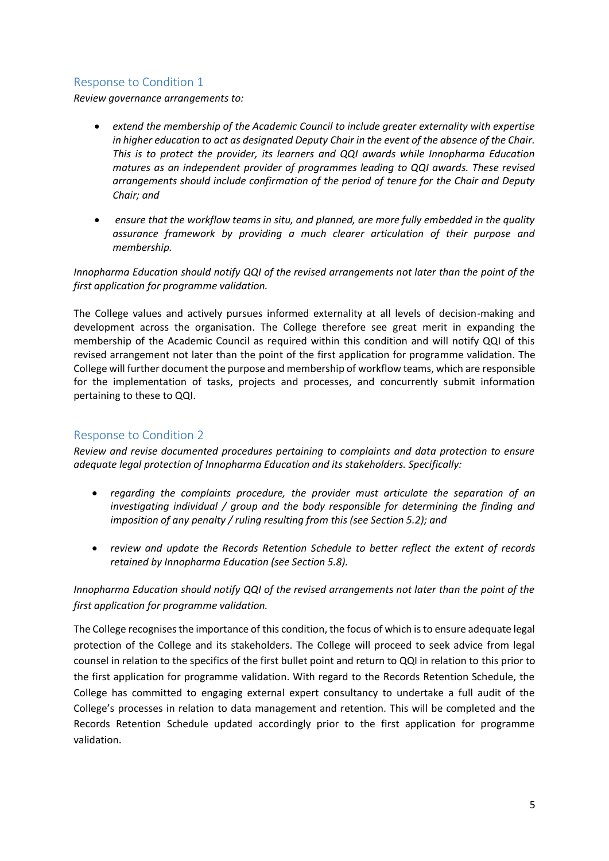#### <span id="page-42-0"></span>Response to Condition 1

*Review governance arrangements to:* 

- *extend the membership of the Academic Council to include greater externality with expertise in higher education to act as designated Deputy Chair in the event of the absence of the Chair. This is to protect the provider, its learners and QQI awards while Innopharma Education matures as an independent provider of programmes leading to QQI awards. These revised arrangements should include confirmation of the period of tenure for the Chair and Deputy Chair; and*
- *ensure that the workflow teams in situ, and planned, are more fully embedded in the quality assurance framework by providing a much clearer articulation of their purpose and membership.*

*Innopharma Education should notify QQI of the revised arrangements not later than the point of the first application for programme validation.* 

The College values and actively pursues informed externality at all levels of decision-making and development across the organisation. The College therefore see great merit in expanding the membership of the Academic Council as required within this condition and will notify QQI of this revised arrangement not later than the point of the first application for programme validation. The College will further document the purpose and membership of workflow teams, which are responsible for the implementation of tasks, projects and processes, and concurrently submit information pertaining to these to QQI.

#### <span id="page-42-1"></span>Response to Condition 2

*Review and revise documented procedures pertaining to complaints and data protection to ensure adequate legal protection of Innopharma Education and its stakeholders. Specifically:* 

- *regarding the complaints procedure, the provider must articulate the separation of an investigating individual / group and the body responsible for determining the finding and imposition of any penalty / ruling resulting from this (see Section 5.2); and*
- *review and update the Records Retention Schedule to better reflect the extent of records retained by Innopharma Education (see Section 5.8).*

#### *Innopharma Education should notify QQI of the revised arrangements not later than the point of the first application for programme validation.*

The College recognises the importance of this condition, the focus of which is to ensure adequate legal protection of the College and its stakeholders. The College will proceed to seek advice from legal counsel in relation to the specifics of the first bullet point and return to QQI in relation to this prior to the first application for programme validation. With regard to the Records Retention Schedule, the College has committed to engaging external expert consultancy to undertake a full audit of the College's processes in relation to data management and retention. This will be completed and the Records Retention Schedule updated accordingly prior to the first application for programme validation.